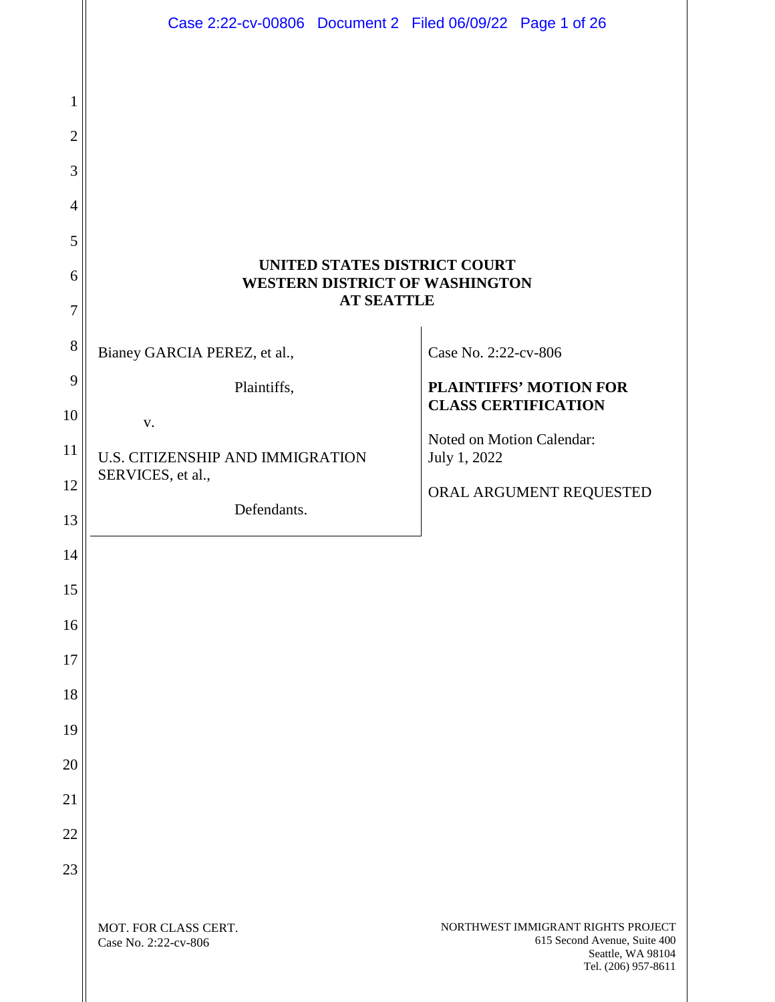|                     | Case 2:22-cv-00806 Document 2 Filed 06/09/22 Page 1 of 26                                  |                                                                                                                |
|---------------------|--------------------------------------------------------------------------------------------|----------------------------------------------------------------------------------------------------------------|
|                     |                                                                                            |                                                                                                                |
| 1                   |                                                                                            |                                                                                                                |
| $\overline{2}$      |                                                                                            |                                                                                                                |
| 3                   |                                                                                            |                                                                                                                |
| $\overline{4}$      |                                                                                            |                                                                                                                |
| 5                   |                                                                                            |                                                                                                                |
| 6<br>$\overline{7}$ | UNITED STATES DISTRICT COURT<br><b>WESTERN DISTRICT OF WASHINGTON</b><br><b>AT SEATTLE</b> |                                                                                                                |
| 8                   |                                                                                            |                                                                                                                |
| 9                   | Bianey GARCIA PEREZ, et al.,                                                               | Case No. 2:22-cv-806                                                                                           |
| 10                  | Plaintiffs,                                                                                | <b>PLAINTIFFS' MOTION FOR</b><br><b>CLASS CERTIFICATION</b>                                                    |
| 11                  | V.                                                                                         | Noted on Motion Calendar:                                                                                      |
| 12                  | U.S. CITIZENSHIP AND IMMIGRATION<br>SERVICES, et al.,                                      | July 1, 2022                                                                                                   |
| 13                  | Defendants.                                                                                | ORAL ARGUMENT REQUESTED                                                                                        |
| 14                  |                                                                                            |                                                                                                                |
| 15                  |                                                                                            |                                                                                                                |
| 16                  |                                                                                            |                                                                                                                |
| 17                  |                                                                                            |                                                                                                                |
| 18                  |                                                                                            |                                                                                                                |
| 19                  |                                                                                            |                                                                                                                |
| 20                  |                                                                                            |                                                                                                                |
| 21                  |                                                                                            |                                                                                                                |
| 22                  |                                                                                            |                                                                                                                |
| 23                  |                                                                                            |                                                                                                                |
|                     |                                                                                            |                                                                                                                |
|                     | MOT. FOR CLASS CERT.<br>Case No. 2:22-cv-806                                               | NORTHWEST IMMIGRANT RIGHTS PROJECT<br>615 Second Avenue, Suite 400<br>Seattle, WA 98104<br>Tel. (206) 957-8611 |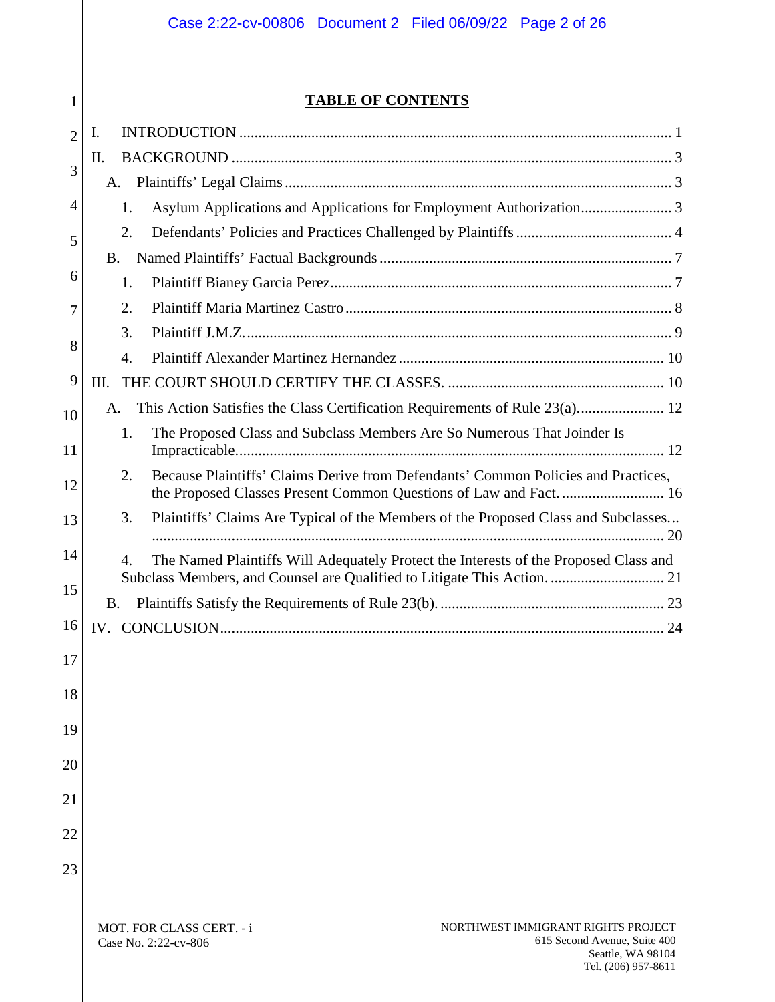# **TABLE OF CONTENTS**

1

| $\overline{2}$ | I.                                                                                                                                                                     |
|----------------|------------------------------------------------------------------------------------------------------------------------------------------------------------------------|
| 3              | П.                                                                                                                                                                     |
|                | A.                                                                                                                                                                     |
| 4              | 1.                                                                                                                                                                     |
| 5              | 2.                                                                                                                                                                     |
|                | <b>B.</b>                                                                                                                                                              |
| 6              | 1.                                                                                                                                                                     |
| 7              | 2.                                                                                                                                                                     |
| 8              | 3.                                                                                                                                                                     |
|                | 4.                                                                                                                                                                     |
| 9              | III.                                                                                                                                                                   |
| 10             | This Action Satisfies the Class Certification Requirements of Rule 23(a) 12<br>Α.                                                                                      |
| 11             | The Proposed Class and Subclass Members Are So Numerous That Joinder Is<br>1.                                                                                          |
| 12             | 2.<br>Because Plaintiffs' Claims Derive from Defendants' Common Policies and Practices,                                                                                |
| 13             | 3.<br>Plaintiffs' Claims Are Typical of the Members of the Proposed Class and Subclasses                                                                               |
| 14             | The Named Plaintiffs Will Adequately Protect the Interests of the Proposed Class and<br>4.<br>Subclass Members, and Counsel are Qualified to Litigate This Action.  21 |
| 15             | <b>B.</b>                                                                                                                                                              |
| 16             |                                                                                                                                                                        |
| 17             |                                                                                                                                                                        |
| 18             |                                                                                                                                                                        |
| 19             |                                                                                                                                                                        |
| 20             |                                                                                                                                                                        |
| 21             |                                                                                                                                                                        |
| 22             |                                                                                                                                                                        |
|                |                                                                                                                                                                        |
| 23             |                                                                                                                                                                        |
|                | NORTHWEST IMMIGRANT RIGHTS PROJECT<br>MOT. FOR CLASS CERT. - i                                                                                                         |
|                | 615 Second Avenue, Suite 400<br>Case No. 2:22-cv-806<br>Seattle, WA 98104                                                                                              |

Tel. (206) 957-8611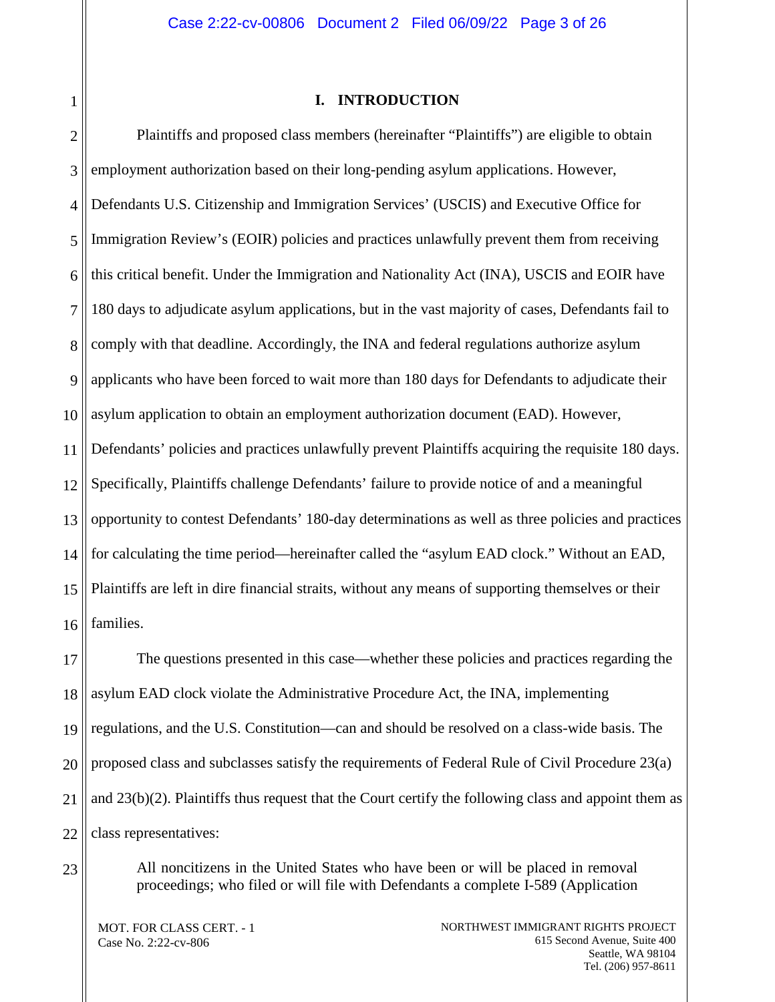<span id="page-2-0"></span>1

#### **I. INTRODUCTION**

2 3 4 5 6 7 8 9 10 11 12 13 14 15 16 Plaintiffs and proposed class members (hereinafter "Plaintiffs") are eligible to obtain employment authorization based on their long-pending asylum applications. However, Defendants U.S. Citizenship and Immigration Services' (USCIS) and Executive Office for Immigration Review's (EOIR) policies and practices unlawfully prevent them from receiving this critical benefit. Under the Immigration and Nationality Act (INA), USCIS and EOIR have 180 days to adjudicate asylum applications, but in the vast majority of cases, Defendants fail to comply with that deadline. Accordingly, the INA and federal regulations authorize asylum applicants who have been forced to wait more than 180 days for Defendants to adjudicate their asylum application to obtain an employment authorization document (EAD). However, Defendants' policies and practices unlawfully prevent Plaintiffs acquiring the requisite 180 days. Specifically, Plaintiffs challenge Defendants' failure to provide notice of and a meaningful opportunity to contest Defendants' 180-day determinations as well as three policies and practices for calculating the time period—hereinafter called the "asylum EAD clock." Without an EAD, Plaintiffs are left in dire financial straits, without any means of supporting themselves or their families.

17 18 19 20 21 22 The questions presented in this case—whether these policies and practices regarding the asylum EAD clock violate the Administrative Procedure Act, the INA, implementing regulations, and the U.S. Constitution—can and should be resolved on a class-wide basis. The proposed class and subclasses satisfy the requirements of Federal Rule of Civil Procedure 23(a) and 23(b)(2). Plaintiffs thus request that the Court certify the following class and appoint them as class representatives:

23

All noncitizens in the United States who have been or will be placed in removal proceedings; who filed or will file with Defendants a complete I-589 (Application

MOT. FOR CLASS CERT. - 1 Case No. 2:22-cv-806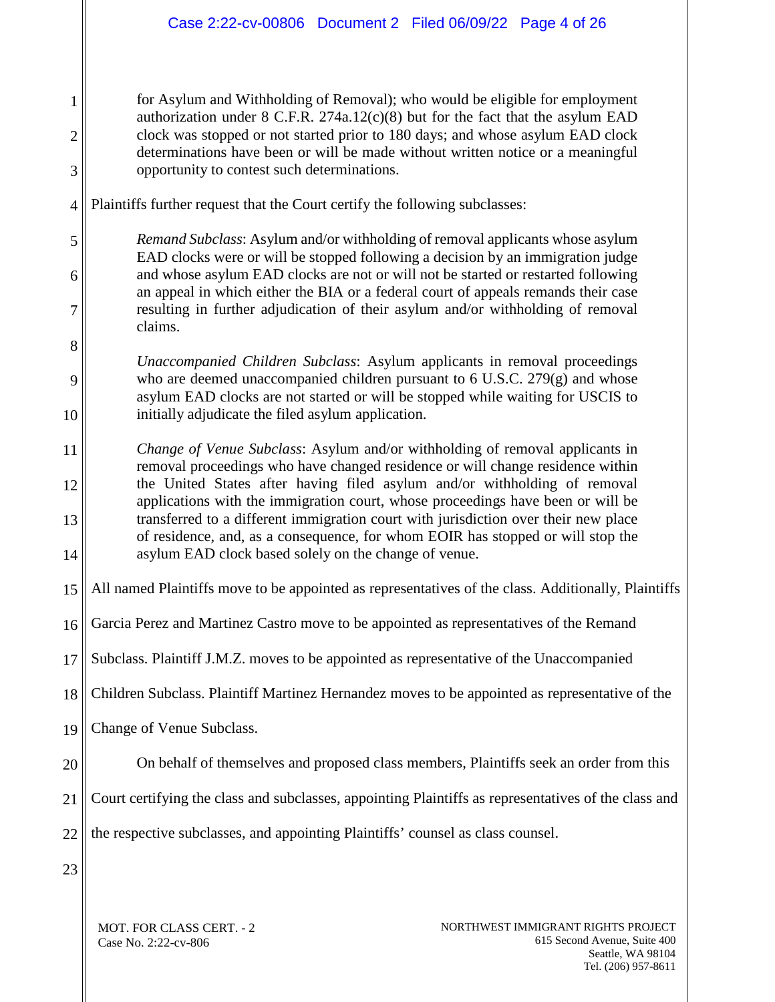for Asylum and Withholding of Removal); who would be eligible for employment authorization under  $8$  C.F.R. 274a.12(c)(8) but for the fact that the asylum EAD clock was stopped or not started prior to 180 days; and whose asylum EAD clock determinations have been or will be made without written notice or a meaningful opportunity to contest such determinations.

4 Plaintiffs further request that the Court certify the following subclasses:

5 6 7 *Remand Subclass*: Asylum and/or withholding of removal applicants whose asylum EAD clocks were or will be stopped following a decision by an immigration judge and whose asylum EAD clocks are not or will not be started or restarted following an appeal in which either the BIA or a federal court of appeals remands their case resulting in further adjudication of their asylum and/or withholding of removal claims.

8 10 *Unaccompanied Children Subclass*: Asylum applicants in removal proceedings who are deemed unaccompanied children pursuant to  $6$  U.S.C. 279 $(g)$  and whose asylum EAD clocks are not started or will be stopped while waiting for USCIS to initially adjudicate the filed asylum application.

11 12 13 14 *Change of Venue Subclass*: Asylum and/or withholding of removal applicants in removal proceedings who have changed residence or will change residence within the United States after having filed asylum and/or withholding of removal applications with the immigration court, whose proceedings have been or will be transferred to a different immigration court with jurisdiction over their new place of residence, and, as a consequence, for whom EOIR has stopped or will stop the asylum EAD clock based solely on the change of venue.

15 All named Plaintiffs move to be appointed as representatives of the class. Additionally, Plaintiffs

16 Garcia Perez and Martinez Castro move to be appointed as representatives of the Remand

17 Subclass. Plaintiff J.M.Z. moves to be appointed as representative of the Unaccompanied

18 Children Subclass. Plaintiff Martinez Hernandez moves to be appointed as representative of the

19 Change of Venue Subclass.

20 On behalf of themselves and proposed class members, Plaintiffs seek an order from this

21 Court certifying the class and subclasses, appointing Plaintiffs as representatives of the class and

22 the respective subclasses, and appointing Plaintiffs' counsel as class counsel.

23

1

2

3

9

MOT. FOR CLASS CERT. - 2 Case No. 2:22-cv-806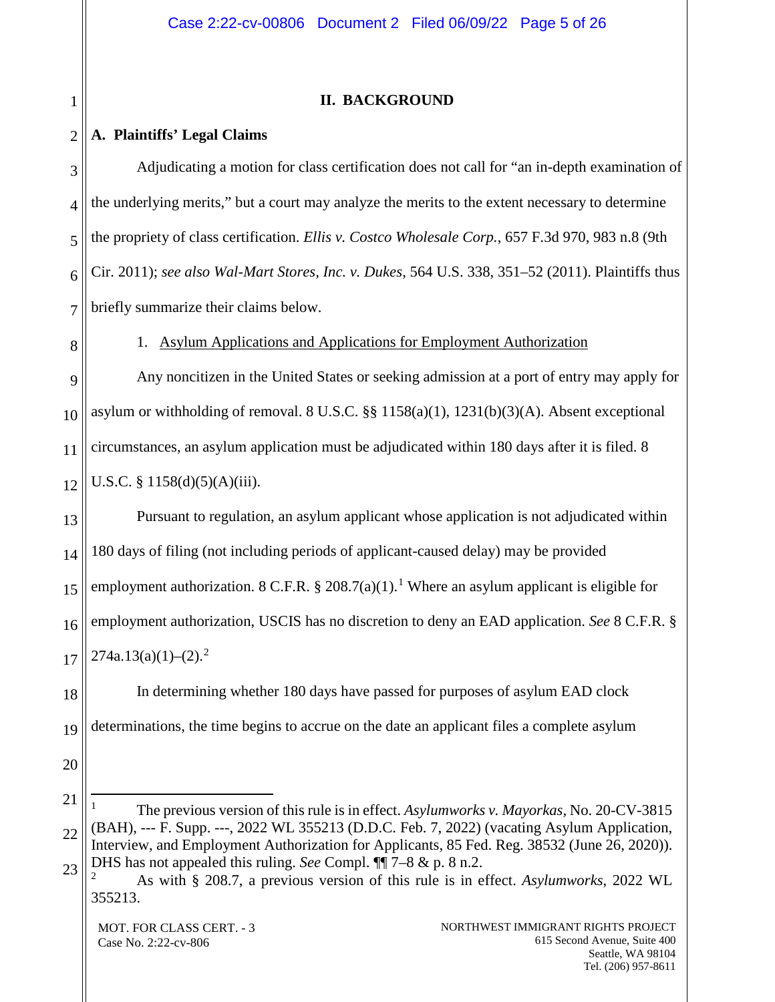## **II. BACKGROUND**

#### <span id="page-4-1"></span>2 **A. Plaintiffs' Legal Claims**

<span id="page-4-0"></span>1

<span id="page-4-2"></span>8

3 4 5 6 7 Adjudicating a motion for class certification does not call for "an in-depth examination of the underlying merits," but a court may analyze the merits to the extent necessary to determine the propriety of class certification. *Ellis v. Costco Wholesale Corp.*, 657 F.3d 970, 983 n.8 (9th Cir. 2011); *see also Wal-Mart Stores, Inc. v. Dukes*, 564 U.S. 338, 351–52 (2011). Plaintiffs thus briefly summarize their claims below.

1. Asylum Applications and Applications for Employment Authorization

9 10 11 12 Any noncitizen in the United States or seeking admission at a port of entry may apply for asylum or withholding of removal. 8 U.S.C. §§ 1158(a)(1), 1231(b)(3)(A). Absent exceptional circumstances, an asylum application must be adjudicated within 180 days after it is filed. 8 U.S.C. §  $1158(d)(5)(A)(iii)$ .

13 14 15 16 17 Pursuant to regulation, an asylum applicant whose application is not adjudicated within 180 days of filing (not including periods of applicant-caused delay) may be provided employment authorization. 8 C.F.R. § 208.7(a)([1](#page-4-3)).<sup>1</sup> Where an asylum applicant is eligible for employment authorization, USCIS has no discretion to deny an EAD application. *See* 8 C.F.R. §  $274a.13(a)(1)–(2).<sup>2</sup>$  $274a.13(a)(1)–(2).<sup>2</sup>$ 

18 19 In determining whether 180 days have passed for purposes of asylum EAD clock determinations, the time begins to accrue on the date an applicant files a complete asylum

20

<span id="page-4-3"></span><sup>21</sup> 22 23 1 The previous version of this rule is in effect. *Asylumworks v. Mayorkas,* No. 20-CV-3815 (BAH), --- F. Supp. ---, 2022 WL 355213 (D.D.C. Feb. 7, 2022) (vacating Asylum Application, Interview, and Employment Authorization for Applicants, 85 Fed. Reg. 38532 (June 26, 2020)). DHS has not appealed this ruling. *See* Compl. ¶¶ 7–8 & p. 8 n.2.

<span id="page-4-4"></span><sup>2</sup> As with § 208.7, a previous version of this rule is in effect. *Asylumworks*, 2022 WL 355213.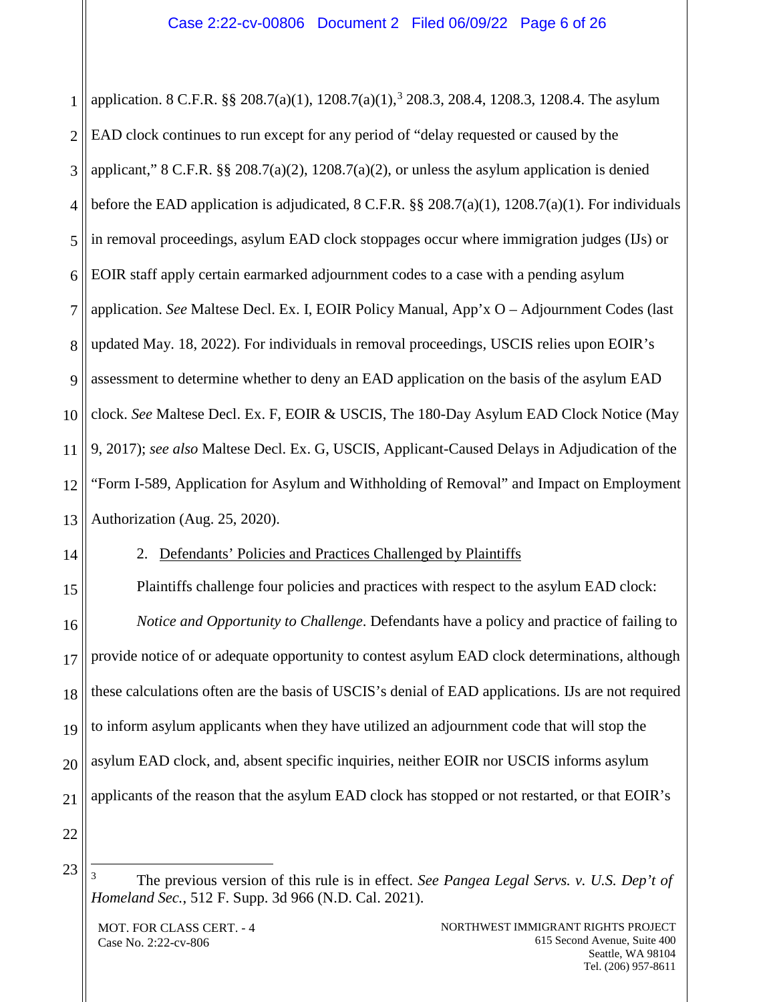1 2 3 4 5 6 7 8 9 10 11 12 13 application. 8 C.F.R. §§ 208.7(a)(1),  $1208.7(a)(1)$ ,  $3208.3$  $3208.3$ ,  $208.4$ ,  $1208.3$ ,  $1208.4$ . The asylum EAD clock continues to run except for any period of "delay requested or caused by the applicant,"  $8 \text{ C.F.R.}$   $\frac{88}{9}$   $208.7(a)(2)$ ,  $1208.7(a)(2)$ , or unless the asylum application is denied before the EAD application is adjudicated,  $8 \text{ C.F.R.}$  §§  $208.7(a)(1)$ ,  $1208.7(a)(1)$ . For individuals in removal proceedings, asylum EAD clock stoppages occur where immigration judges (IJs) or EOIR staff apply certain earmarked adjournment codes to a case with a pending asylum application. *See* Maltese Decl. Ex. I, EOIR Policy Manual, App'x O – Adjournment Codes (last updated May. 18, 2022). For individuals in removal proceedings, USCIS relies upon EOIR's assessment to determine whether to deny an EAD application on the basis of the asylum EAD clock. *See* Maltese Decl. Ex. F, EOIR & USCIS, The 180-Day Asylum EAD Clock Notice (May 9, 2017); *see also* Maltese Decl. Ex. G, USCIS, Applicant-Caused Delays in Adjudication of the "Form I-589, Application for Asylum and Withholding of Removal" and Impact on Employment Authorization (Aug. 25, 2020).

<span id="page-5-0"></span>14

# 2. Defendants' Policies and Practices Challenged by Plaintiffs

15 16 17 18 19 20 21 Plaintiffs challenge four policies and practices with respect to the asylum EAD clock: *Notice and Opportunity to Challenge*. Defendants have a policy and practice of failing to provide notice of or adequate opportunity to contest asylum EAD clock determinations, although these calculations often are the basis of USCIS's denial of EAD applications. IJs are not required to inform asylum applicants when they have utilized an adjournment code that will stop the asylum EAD clock, and, absent specific inquiries, neither EOIR nor USCIS informs asylum applicants of the reason that the asylum EAD clock has stopped or not restarted, or that EOIR's

<span id="page-5-1"></span>22 23

 <sup>3</sup> The previous version of this rule is in effect. *See Pangea Legal Servs. v. U.S. Dep't of Homeland Sec.*, 512 F. Supp. 3d 966 (N.D. Cal. 2021).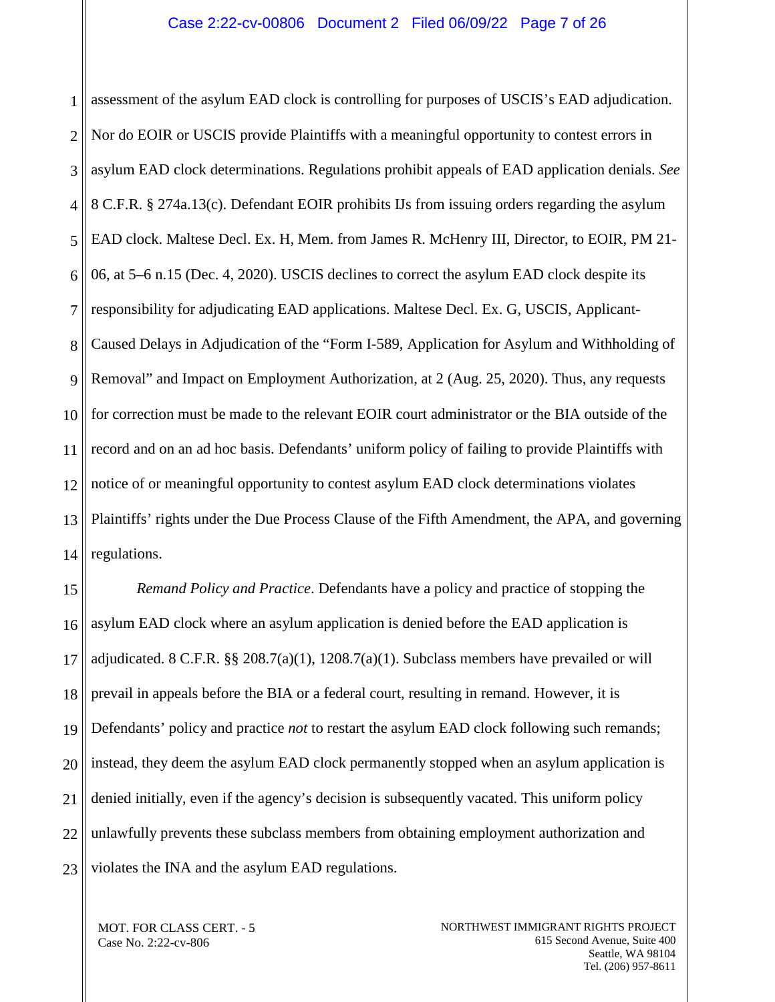1 2 3 4 5 6 7 8 9 10 11 12 13 14 assessment of the asylum EAD clock is controlling for purposes of USCIS's EAD adjudication. Nor do EOIR or USCIS provide Plaintiffs with a meaningful opportunity to contest errors in asylum EAD clock determinations. Regulations prohibit appeals of EAD application denials. *See*  8 C.F.R. § 274a.13(c). Defendant EOIR prohibits IJs from issuing orders regarding the asylum EAD clock. Maltese Decl. Ex. H, Mem. from James R. McHenry III, Director, to EOIR, PM 21- 06, at 5–6 n.15 (Dec. 4, 2020). USCIS declines to correct the asylum EAD clock despite its responsibility for adjudicating EAD applications. Maltese Decl. Ex. G, USCIS, Applicant-Caused Delays in Adjudication of the "Form I-589, Application for Asylum and Withholding of Removal" and Impact on Employment Authorization, at 2 (Aug. 25, 2020). Thus, any requests for correction must be made to the relevant EOIR court administrator or the BIA outside of the record and on an ad hoc basis. Defendants' uniform policy of failing to provide Plaintiffs with notice of or meaningful opportunity to contest asylum EAD clock determinations violates Plaintiffs' rights under the Due Process Clause of the Fifth Amendment, the APA, and governing regulations.

15 16 17 18 19 20 21 22 23 *Remand Policy and Practice*. Defendants have a policy and practice of stopping the asylum EAD clock where an asylum application is denied before the EAD application is adjudicated. 8 C.F.R.  $\S$   $\S$   $208.7(a)(1)$ ,  $1208.7(a)(1)$ . Subclass members have prevailed or will prevail in appeals before the BIA or a federal court, resulting in remand. However, it is Defendants' policy and practice *not* to restart the asylum EAD clock following such remands; instead, they deem the asylum EAD clock permanently stopped when an asylum application is denied initially, even if the agency's decision is subsequently vacated. This uniform policy unlawfully prevents these subclass members from obtaining employment authorization and violates the INA and the asylum EAD regulations.

MOT. FOR CLASS CERT. - 5 Case No. 2:22-cv-806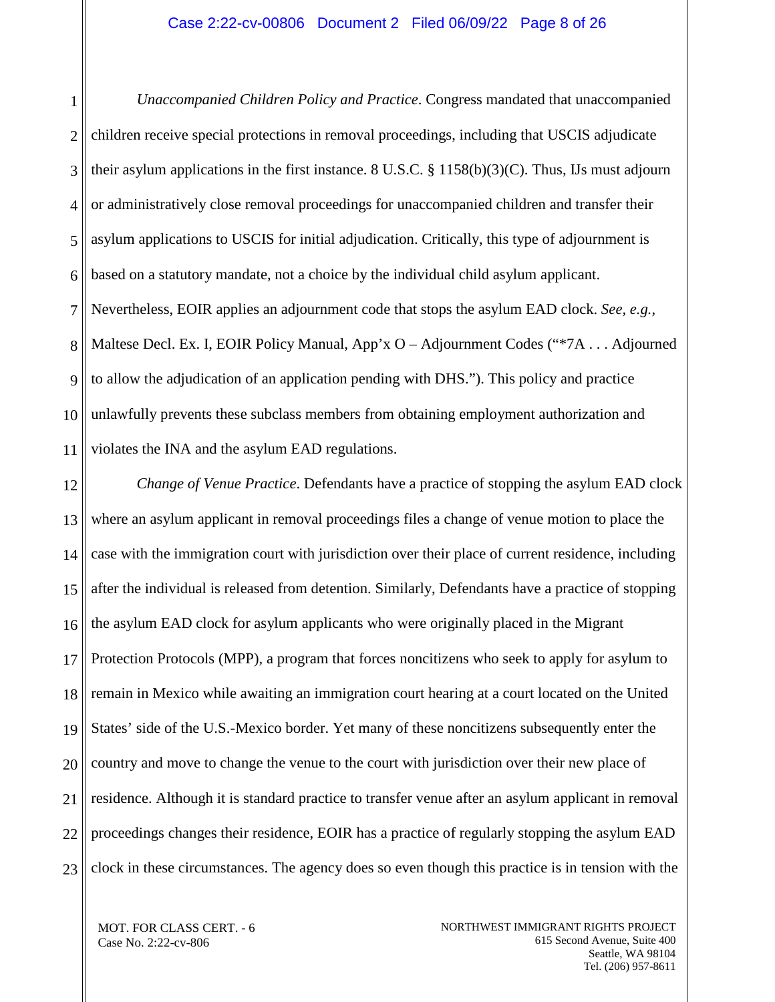1 2 3 4 5 6 7 8 9 10 11 *Unaccompanied Children Policy and Practice*. Congress mandated that unaccompanied children receive special protections in removal proceedings, including that USCIS adjudicate their asylum applications in the first instance. 8 U.S.C.  $\S$  1158(b)(3)(C). Thus, IJs must adjourn or administratively close removal proceedings for unaccompanied children and transfer their asylum applications to USCIS for initial adjudication. Critically, this type of adjournment is based on a statutory mandate, not a choice by the individual child asylum applicant. Nevertheless, EOIR applies an adjournment code that stops the asylum EAD clock. *See, e.g.*, Maltese Decl. Ex. I, EOIR Policy Manual, App'x O – Adjournment Codes ("\*7A . . . Adjourned to allow the adjudication of an application pending with DHS."). This policy and practice unlawfully prevents these subclass members from obtaining employment authorization and violates the INA and the asylum EAD regulations.

12 13 14 15 16 17 18 19 20 21 22 23 *Change of Venue Practice*. Defendants have a practice of stopping the asylum EAD clock where an asylum applicant in removal proceedings files a change of venue motion to place the case with the immigration court with jurisdiction over their place of current residence, including after the individual is released from detention. Similarly, Defendants have a practice of stopping the asylum EAD clock for asylum applicants who were originally placed in the Migrant Protection Protocols (MPP), a program that forces noncitizens who seek to apply for asylum to remain in Mexico while awaiting an immigration court hearing at a court located on the United States' side of the U.S.-Mexico border. Yet many of these noncitizens subsequently enter the country and move to change the venue to the court with jurisdiction over their new place of residence. Although it is standard practice to transfer venue after an asylum applicant in removal proceedings changes their residence, EOIR has a practice of regularly stopping the asylum EAD clock in these circumstances. The agency does so even though this practice is in tension with the

MOT. FOR CLASS CERT. - 6 Case No. 2:22-cv-806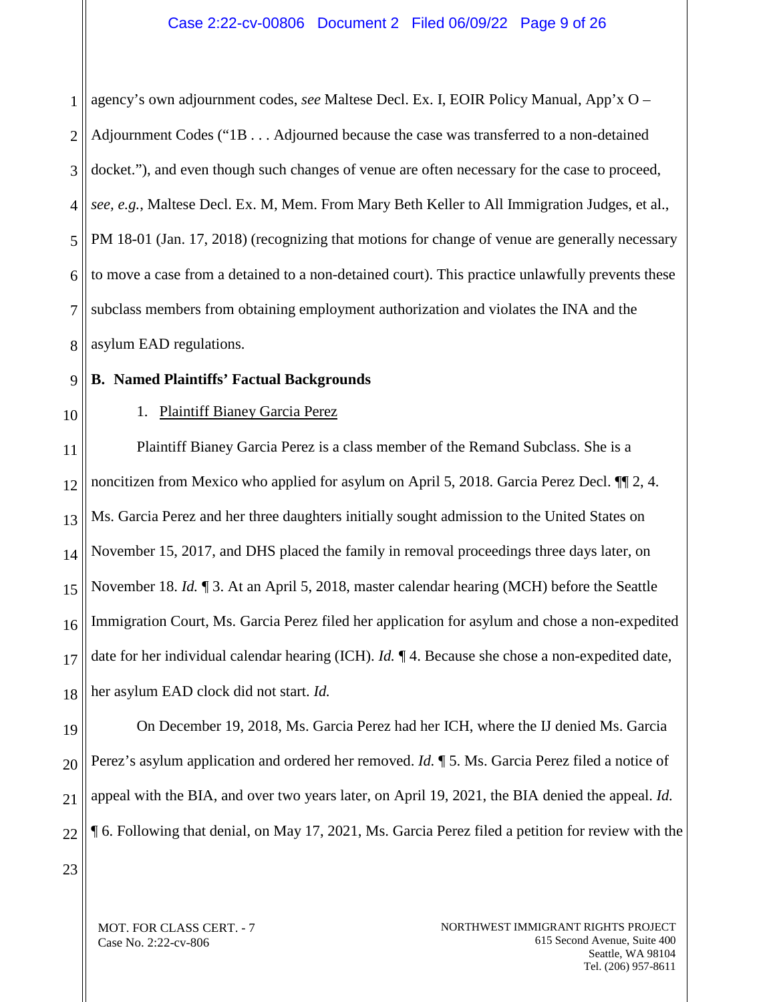1 2 3 4 5 6 7 8 agency's own adjournment codes, *see* Maltese Decl. Ex. I, EOIR Policy Manual, App'x O – Adjournment Codes ("1B . . . Adjourned because the case was transferred to a non-detained docket."), and even though such changes of venue are often necessary for the case to proceed, *see, e.g.*, Maltese Decl. Ex. M, Mem. From Mary Beth Keller to All Immigration Judges, et al., PM 18-01 (Jan. 17, 2018) (recognizing that motions for change of venue are generally necessary to move a case from a detained to a non-detained court). This practice unlawfully prevents these subclass members from obtaining employment authorization and violates the INA and the asylum EAD regulations.

9

<span id="page-8-1"></span>10

# 1. Plaintiff Bianey Garcia Perez

<span id="page-8-0"></span>**B. Named Plaintiffs' Factual Backgrounds**

11 12 13 14 15 16 17 18 Plaintiff Bianey Garcia Perez is a class member of the Remand Subclass. She is a noncitizen from Mexico who applied for asylum on April 5, 2018. Garcia Perez Decl.  $\P$  2, 4. Ms. Garcia Perez and her three daughters initially sought admission to the United States on November 15, 2017, and DHS placed the family in removal proceedings three days later, on November 18. *Id.* ¶ 3. At an April 5, 2018, master calendar hearing (MCH) before the Seattle Immigration Court, Ms. Garcia Perez filed her application for asylum and chose a non-expedited date for her individual calendar hearing (ICH). *Id.* ¶ 4. Because she chose a non-expedited date, her asylum EAD clock did not start. *Id.*

19 20 21 22 On December 19, 2018, Ms. Garcia Perez had her ICH, where the IJ denied Ms. Garcia Perez's asylum application and ordered her removed. *Id.* ¶ 5. Ms. Garcia Perez filed a notice of appeal with the BIA, and over two years later, on April 19, 2021, the BIA denied the appeal. *Id.* ¶ 6. Following that denial, on May 17, 2021, Ms. Garcia Perez filed a petition for review with the

23

MOT. FOR CLASS CERT. - 7 Case No. 2:22-cv-806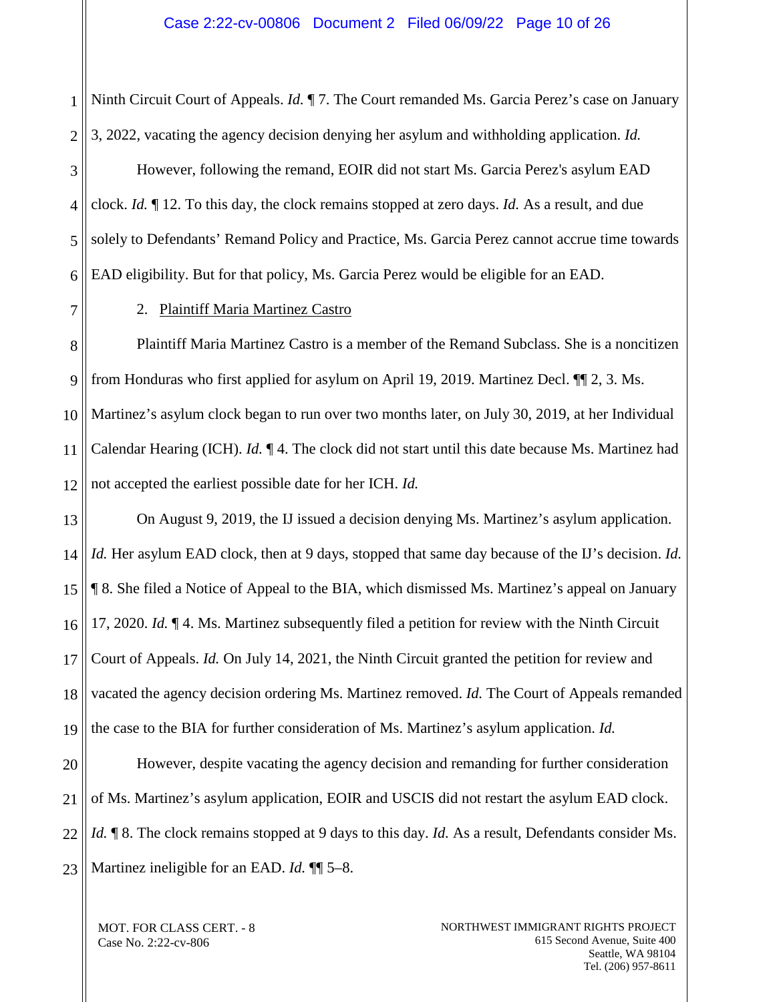1 2 Ninth Circuit Court of Appeals. *Id.* ¶ 7. The Court remanded Ms. Garcia Perez's case on January 3, 2022, vacating the agency decision denying her asylum and withholding application. *Id.*

3 4 5 6 However, following the remand, EOIR did not start Ms. Garcia Perez's asylum EAD clock. *Id.* ¶ 12. To this day, the clock remains stopped at zero days. *Id.* As a result, and due solely to Defendants' Remand Policy and Practice, Ms. Garcia Perez cannot accrue time towards EAD eligibility. But for that policy, Ms. Garcia Perez would be eligible for an EAD.

<span id="page-9-0"></span>7

2. Plaintiff Maria Martinez Castro

8 9 10 11 12 Plaintiff Maria Martinez Castro is a member of the Remand Subclass. She is a noncitizen from Honduras who first applied for asylum on April 19, 2019. Martinez Decl. ¶¶ 2, 3. Ms. Martinez's asylum clock began to run over two months later, on July 30, 2019, at her Individual Calendar Hearing (ICH). *Id.* ¶ 4. The clock did not start until this date because Ms. Martinez had not accepted the earliest possible date for her ICH. *Id.*

13 14 15 16 17 18 19 On August 9, 2019, the IJ issued a decision denying Ms. Martinez's asylum application. *Id.* Her asylum EAD clock, then at 9 days, stopped that same day because of the IJ's decision. *Id.* ¶ 8. She filed a Notice of Appeal to the BIA, which dismissed Ms. Martinez's appeal on January 17, 2020. *Id.* ¶ 4. Ms. Martinez subsequently filed a petition for review with the Ninth Circuit Court of Appeals. *Id.* On July 14, 2021, the Ninth Circuit granted the petition for review and vacated the agency decision ordering Ms. Martinez removed. *Id.* The Court of Appeals remanded the case to the BIA for further consideration of Ms. Martinez's asylum application. *Id.*

20 21 22 23 However, despite vacating the agency decision and remanding for further consideration of Ms. Martinez's asylum application, EOIR and USCIS did not restart the asylum EAD clock. *Id.* **[8.** The clock remains stopped at 9 days to this day. *Id.* As a result, Defendants consider Ms. Martinez ineligible for an EAD. *Id.* ¶¶ 5–8.

MOT. FOR CLASS CERT. - 8 Case No. 2:22-cv-806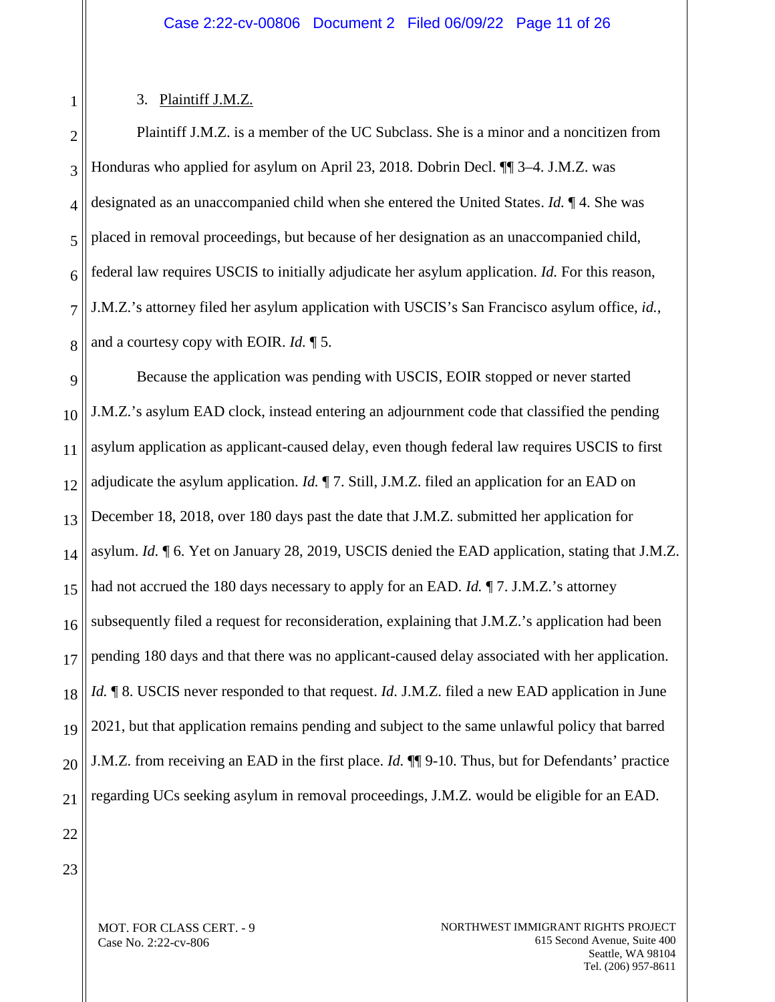### 3. Plaintiff J.M.Z.

<span id="page-10-0"></span>1

2 3 4 5 6 7 8 Plaintiff J.M.Z. is a member of the UC Subclass. She is a minor and a noncitizen from Honduras who applied for asylum on April 23, 2018. Dobrin Decl. ¶¶ 3–4. J.M.Z. was designated as an unaccompanied child when she entered the United States. *Id.* ¶ 4. She was placed in removal proceedings, but because of her designation as an unaccompanied child, federal law requires USCIS to initially adjudicate her asylum application. *Id.* For this reason, J.M.Z.'s attorney filed her asylum application with USCIS's San Francisco asylum office, *id.*, and a courtesy copy with EOIR. *Id.* ¶ 5.

9 10 11 12 13 14 15 16 17 18 19 20 21 Because the application was pending with USCIS, EOIR stopped or never started J.M.Z.'s asylum EAD clock, instead entering an adjournment code that classified the pending asylum application as applicant-caused delay, even though federal law requires USCIS to first adjudicate the asylum application. *Id.* ¶ 7. Still, J.M.Z. filed an application for an EAD on December 18, 2018, over 180 days past the date that J.M.Z. submitted her application for asylum. *Id.* ¶ 6. Yet on January 28, 2019, USCIS denied the EAD application, stating that J.M.Z. had not accrued the 180 days necessary to apply for an EAD. *Id.* ¶ 7. J.M.Z.'s attorney subsequently filed a request for reconsideration, explaining that J.M.Z.'s application had been pending 180 days and that there was no applicant-caused delay associated with her application. *Id.*  $\parallel$  8. USCIS never responded to that request. *Id.* J.M.Z. filed a new EAD application in June 2021, but that application remains pending and subject to the same unlawful policy that barred J.M.Z. from receiving an EAD in the first place. *Id.* ¶¶ 9-10. Thus, but for Defendants' practice regarding UCs seeking asylum in removal proceedings, J.M.Z. would be eligible for an EAD.

22 23

> MOT. FOR CLASS CERT. - 9 Case No. 2:22-cv-806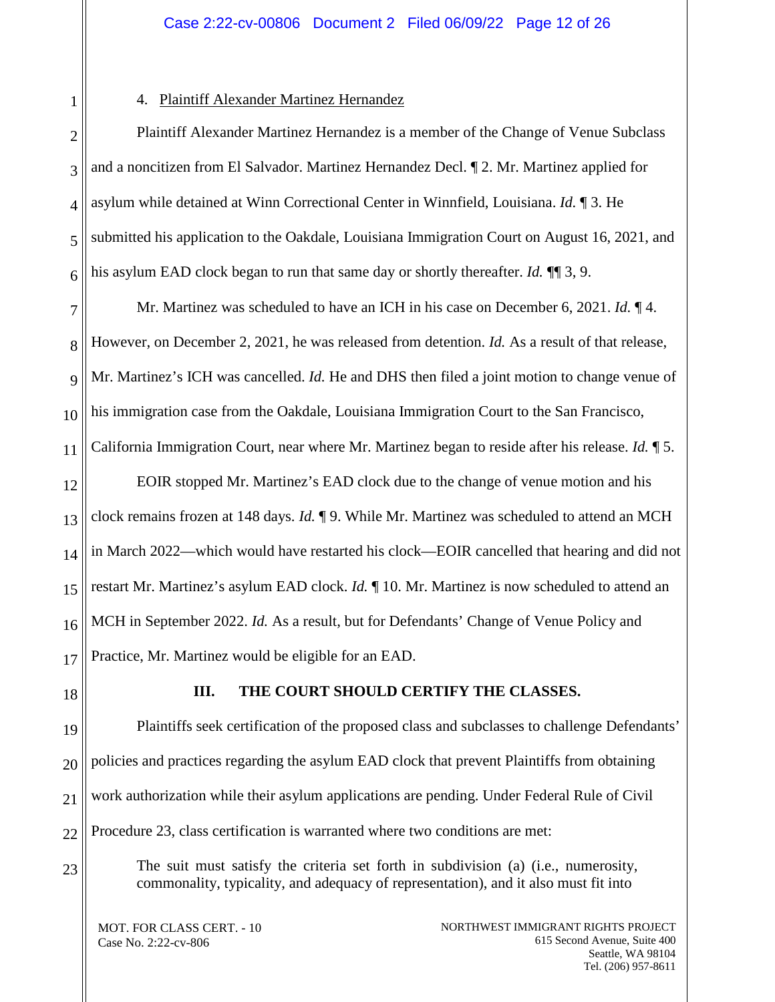<span id="page-11-0"></span>1

# 4. Plaintiff Alexander Martinez Hernandez

2 3 4 5 6 Plaintiff Alexander Martinez Hernandez is a member of the Change of Venue Subclass and a noncitizen from El Salvador. Martinez Hernandez Decl. ¶ 2. Mr. Martinez applied for asylum while detained at Winn Correctional Center in Winnfield, Louisiana. *Id.* ¶ 3. He submitted his application to the Oakdale, Louisiana Immigration Court on August 16, 2021, and his asylum EAD clock began to run that same day or shortly thereafter. *Id.* ¶¶ 3, 9.

7 8 9 10 11 12 13 14 15 16 17 Mr. Martinez was scheduled to have an ICH in his case on December 6, 2021. *Id.* ¶ 4. However, on December 2, 2021, he was released from detention. *Id.* As a result of that release, Mr. Martinez's ICH was cancelled. *Id.* He and DHS then filed a joint motion to change venue of his immigration case from the Oakdale, Louisiana Immigration Court to the San Francisco, California Immigration Court, near where Mr. Martinez began to reside after his release. *Id.* ¶ 5. EOIR stopped Mr. Martinez's EAD clock due to the change of venue motion and his clock remains frozen at 148 days. *Id.* ¶ 9. While Mr. Martinez was scheduled to attend an MCH in March 2022—which would have restarted his clock—EOIR cancelled that hearing and did not restart Mr. Martinez's asylum EAD clock. *Id.* ¶ 10. Mr. Martinez is now scheduled to attend an MCH in September 2022. *Id.* As a result, but for Defendants' Change of Venue Policy and Practice, Mr. Martinez would be eligible for an EAD.

<span id="page-11-1"></span>18

23

# **III. THE COURT SHOULD CERTIFY THE CLASSES.**

19 20 21 22 Plaintiffs seek certification of the proposed class and subclasses to challenge Defendants' policies and practices regarding the asylum EAD clock that prevent Plaintiffs from obtaining work authorization while their asylum applications are pending. Under Federal Rule of Civil Procedure 23, class certification is warranted where two conditions are met:

The suit must satisfy the criteria set forth in subdivision (a) (i.e., numerosity, commonality, typicality, and adequacy of representation), and it also must fit into

MOT. FOR CLASS CERT. - 10 Case No. 2:22-cv-806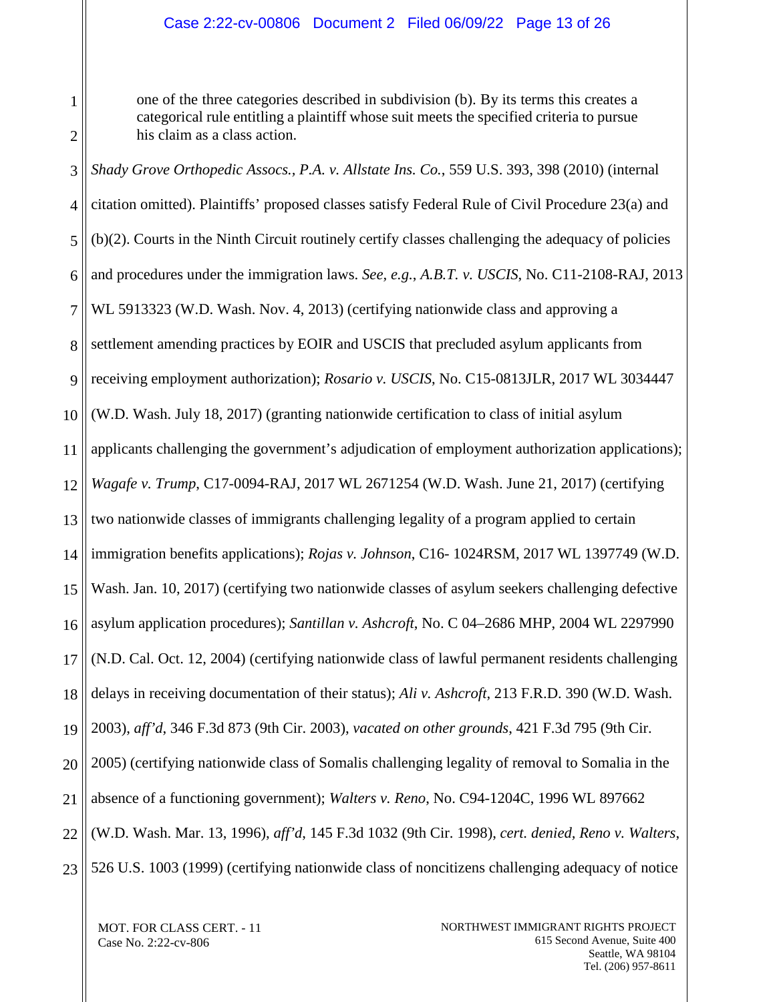# Case 2:22-cv-00806 Document 2 Filed 06/09/22 Page 13 of 26

one of the three categories described in subdivision (b). By its terms this creates a categorical rule entitling a plaintiff whose suit meets the specified criteria to pursue his claim as a class action.

3 4 5 6 7 8 9 10 11 12 13 14 15 16 17 18 19 20 21 22 23 *Shady Grove Orthopedic Assocs., P.A. v. Allstate Ins. Co.*, 559 U.S. 393, 398 (2010) (internal citation omitted). Plaintiffs' proposed classes satisfy Federal Rule of Civil Procedure 23(a) and (b)(2). Courts in the Ninth Circuit routinely certify classes challenging the adequacy of policies and procedures under the immigration laws. *See, e.g.*, *A.B.T. v. USCIS*, No. C11-2108-RAJ, 2013 WL 5913323 (W.D. Wash. Nov. 4, 2013) (certifying nationwide class and approving a settlement amending practices by EOIR and USCIS that precluded asylum applicants from receiving employment authorization); *Rosario v. USCIS*, No. C15-0813JLR, 2017 WL 3034447 (W.D. Wash. July 18, 2017) (granting nationwide certification to class of initial asylum applicants challenging the government's adjudication of employment authorization applications); *Wagafe v. Trump*, C17-0094-RAJ, 2017 WL 2671254 (W.D. Wash. June 21, 2017) (certifying two nationwide classes of immigrants challenging legality of a program applied to certain immigration benefits applications); *Rojas v. Johnson*, C16- 1024RSM, 2017 WL 1397749 (W.D. Wash. Jan. 10, 2017) (certifying two nationwide classes of asylum seekers challenging defective asylum application procedures); *Santillan v. Ashcroft*, No. C 04–2686 MHP, 2004 WL 2297990 (N.D. Cal. Oct. 12, 2004) (certifying nationwide class of lawful permanent residents challenging delays in receiving documentation of their status); *Ali v. Ashcroft*, 213 F.R.D. 390 (W.D. Wash. 2003), *aff'd*, 346 F.3d 873 (9th Cir. 2003), *vacated on other grounds*, 421 F.3d 795 (9th Cir. 2005) (certifying nationwide class of Somalis challenging legality of removal to Somalia in the absence of a functioning government); *Walters v. Reno*, No. C94-1204C, 1996 WL 897662 (W.D. Wash. Mar. 13, 1996), *aff'd*, 145 F.3d 1032 (9th Cir. 1998), *cert. denied, Reno v. Walters*, 526 U.S. 1003 (1999) (certifying nationwide class of noncitizens challenging adequacy of notice

MOT. FOR CLASS CERT. - 11 Case No. 2:22-cv-806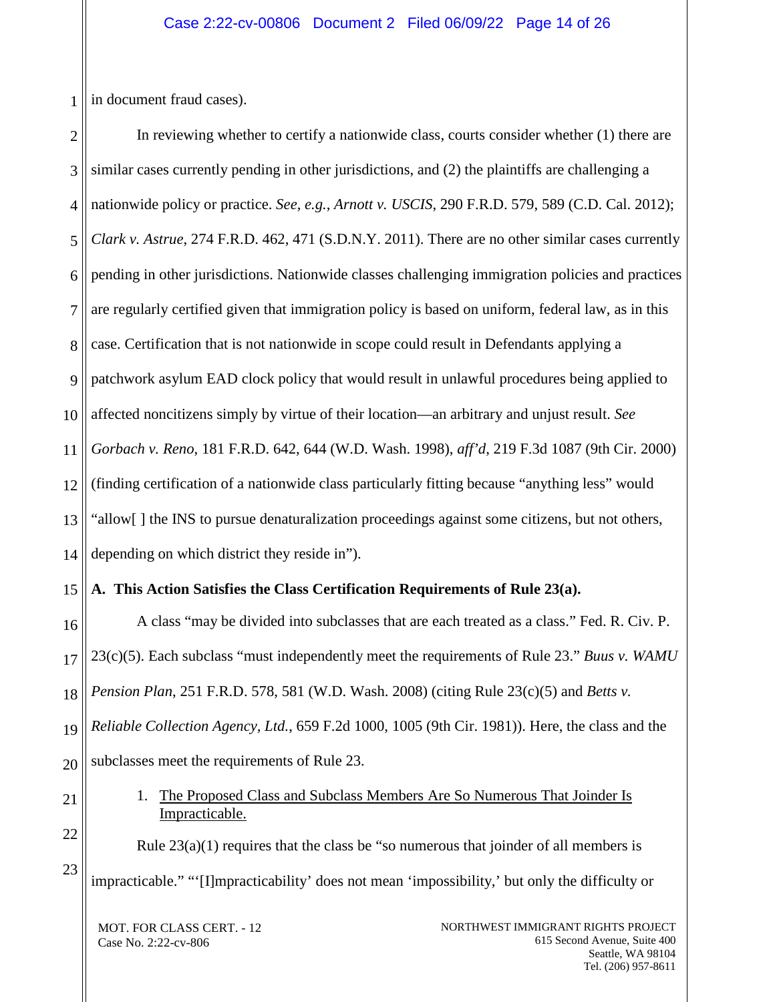1 in document fraud cases).

2 3 4 5 6 7 8 9 10 11 12 13 14 In reviewing whether to certify a nationwide class, courts consider whether (1) there are similar cases currently pending in other jurisdictions, and (2) the plaintiffs are challenging a nationwide policy or practice. *See*, *e.g.*, *Arnott v. USCIS*, 290 F.R.D. 579, 589 (C.D. Cal. 2012); *Clark v. Astrue*, 274 F.R.D. 462, 471 (S.D.N.Y. 2011). There are no other similar cases currently pending in other jurisdictions. Nationwide classes challenging immigration policies and practices are regularly certified given that immigration policy is based on uniform, federal law, as in this case. Certification that is not nationwide in scope could result in Defendants applying a patchwork asylum EAD clock policy that would result in unlawful procedures being applied to affected noncitizens simply by virtue of their location—an arbitrary and unjust result. *See Gorbach v. Reno*, 181 F.R.D. 642, 644 (W.D. Wash. 1998), *aff'd*, 219 F.3d 1087 (9th Cir. 2000) (finding certification of a nationwide class particularly fitting because "anything less" would "allow[ ] the INS to pursue denaturalization proceedings against some citizens, but not others, depending on which district they reside in").

#### <span id="page-13-0"></span>15 **A. This Action Satisfies the Class Certification Requirements of Rule 23(a).**

16 17 18 19 20 A class "may be divided into subclasses that are each treated as a class." Fed. R. Civ. P. 23(c)(5). Each subclass "must independently meet the requirements of Rule 23." *Buus v. WAMU Pension Plan*, 251 F.R.D. 578, 581 (W.D. Wash. 2008) (citing Rule 23(c)(5) and *Betts v. Reliable Collection Agency, Ltd.*, 659 F.2d 1000, 1005 (9th Cir. 1981)). Here, the class and the subclasses meet the requirements of Rule 23.

> 1. The Proposed Class and Subclass Members Are So Numerous That Joinder Is Impracticable.

Rule  $23(a)(1)$  requires that the class be "so numerous that joinder of all members is impracticable." "'[I]mpracticability' does not mean 'impossibility,' but only the difficulty or

MOT. FOR CLASS CERT. - 12 Case No. 2:22-cv-806

<span id="page-13-1"></span>21

22

23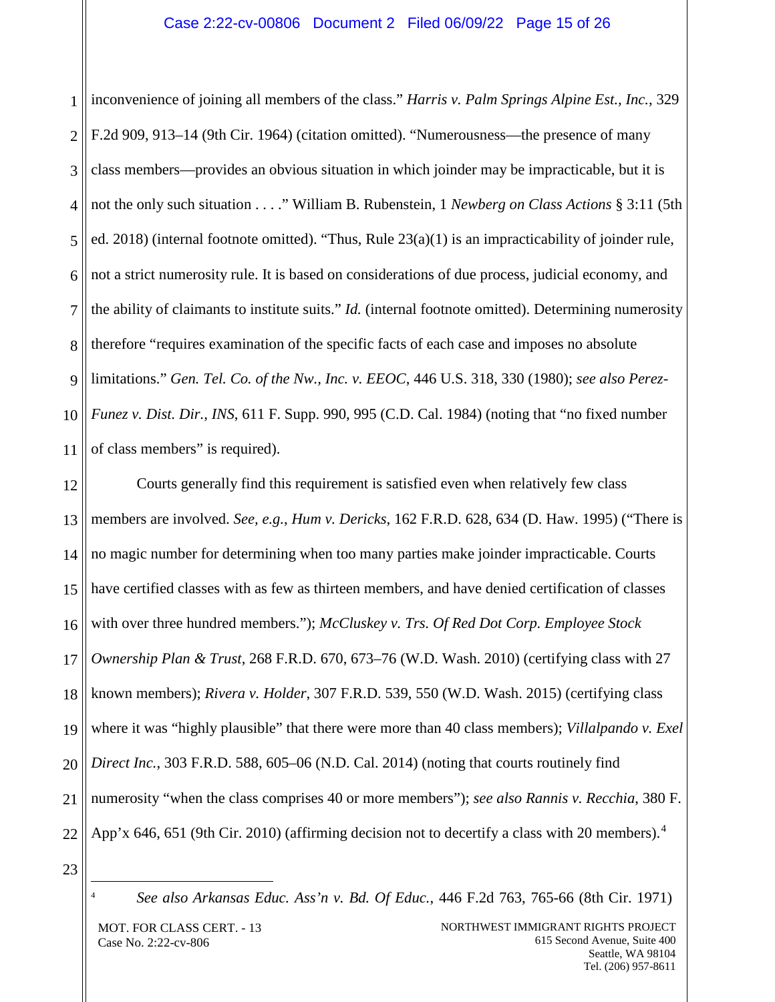1 2 3 4 5 6 7 8 9 10 11 inconvenience of joining all members of the class." *Harris v. Palm Springs Alpine Est., Inc.*, 329 F.2d 909, 913–14 (9th Cir. 1964) (citation omitted). "Numerousness—the presence of many class members—provides an obvious situation in which joinder may be impracticable, but it is not the only such situation . . . ." William B. Rubenstein, 1 *Newberg on Class Actions* § 3:11 (5th ed. 2018) (internal footnote omitted). "Thus, Rule 23(a)(1) is an impracticability of joinder rule, not a strict numerosity rule. It is based on considerations of due process, judicial economy, and the ability of claimants to institute suits." *Id.* (internal footnote omitted). Determining numerosity therefore "requires examination of the specific facts of each case and imposes no absolute limitations." *Gen. Tel. Co. of the Nw., Inc. v. EEOC*, 446 U.S. 318, 330 (1980); *see also Perez-Funez v. Dist. Dir., INS*, 611 F. Supp. 990, 995 (C.D. Cal. 1984) (noting that "no fixed number of class members" is required).

12 13 14 15 16 17 18 19 20 21 22 Courts generally find this requirement is satisfied even when relatively few class members are involved. *See, e.g.*, *Hum v. Dericks*, 162 F.R.D. 628, 634 (D. Haw. 1995) ("There is no magic number for determining when too many parties make joinder impracticable. Courts have certified classes with as few as thirteen members, and have denied certification of classes with over three hundred members."); *McCluskey v. Trs. Of Red Dot Corp. Employee Stock Ownership Plan & Trust*, 268 F.R.D. 670, 673–76 (W.D. Wash. 2010) (certifying class with 27 known members); *Rivera v. Holder*, 307 F.R.D. 539, 550 (W.D. Wash. 2015) (certifying class where it was "highly plausible" that there were more than 40 class members); *Villalpando v. Exel Direct Inc.*, 303 F.R.D. 588, 605–06 (N.D. Cal. 2014) (noting that courts routinely find numerosity "when the class comprises 40 or more members"); *see also Rannis v. Recchia*, 380 F. App'x 6[4](#page-14-0)6, 651 (9th Cir. 2010) (affirming decision not to decertify a class with 20 members).<sup>4</sup>

<span id="page-14-0"></span>23

 <sup>4</sup> *See also Arkansas Educ. Ass'n v. Bd. Of Educ.*, 446 F.2d 763, 765-66 (8th Cir. 1971)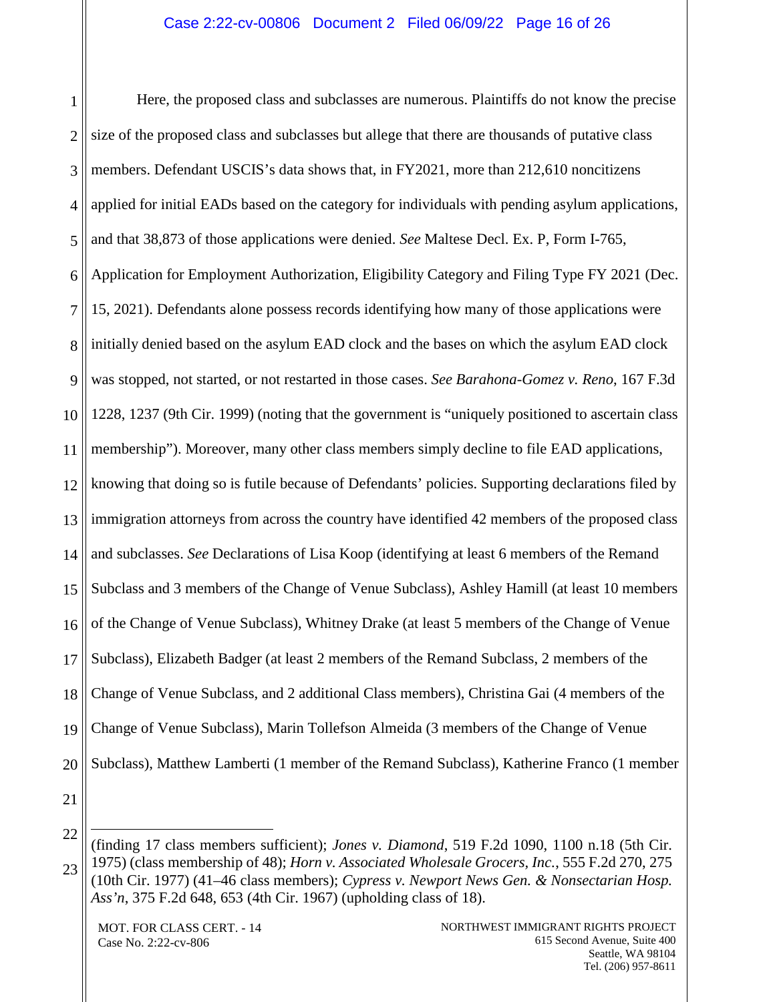1 2 3 4 5 6 7 8 9 10 11 12 13 14 15 16 17 18 19 20 Here, the proposed class and subclasses are numerous. Plaintiffs do not know the precise size of the proposed class and subclasses but allege that there are thousands of putative class members. Defendant USCIS's data shows that, in FY2021, more than 212,610 noncitizens applied for initial EADs based on the category for individuals with pending asylum applications, and that 38,873 of those applications were denied. *See* Maltese Decl. Ex. P, Form I-765, Application for Employment Authorization, Eligibility Category and Filing Type FY 2021 (Dec. 15, 2021). Defendants alone possess records identifying how many of those applications were initially denied based on the asylum EAD clock and the bases on which the asylum EAD clock was stopped, not started, or not restarted in those cases. *See Barahona-Gomez v. Reno*, 167 F.3d 1228, 1237 (9th Cir. 1999) (noting that the government is "uniquely positioned to ascertain class membership"). Moreover, many other class members simply decline to file EAD applications, knowing that doing so is futile because of Defendants' policies. Supporting declarations filed by immigration attorneys from across the country have identified 42 members of the proposed class and subclasses. *See* Declarations of Lisa Koop (identifying at least 6 members of the Remand Subclass and 3 members of the Change of Venue Subclass), Ashley Hamill (at least 10 members of the Change of Venue Subclass), Whitney Drake (at least 5 members of the Change of Venue Subclass), Elizabeth Badger (at least 2 members of the Remand Subclass, 2 members of the Change of Venue Subclass, and 2 additional Class members), Christina Gai (4 members of the Change of Venue Subclass), Marin Tollefson Almeida (3 members of the Change of Venue Subclass), Matthew Lamberti (1 member of the Remand Subclass), Katherine Franco (1 member

21

 $\overline{a}$ 

MOT. FOR CLASS CERT. - 14 Case No. 2:22-cv-806

<sup>22</sup> 23 (finding 17 class members sufficient); *Jones v. Diamond*, 519 F.2d 1090, 1100 n.18 (5th Cir. 1975) (class membership of 48); *Horn v. Associated Wholesale Grocers, Inc.*, 555 F.2d 270, 275 (10th Cir. 1977) (41–46 class members); *Cypress v. Newport News Gen. & Nonsectarian Hosp. Ass'n*, 375 F.2d 648, 653 (4th Cir. 1967) (upholding class of 18).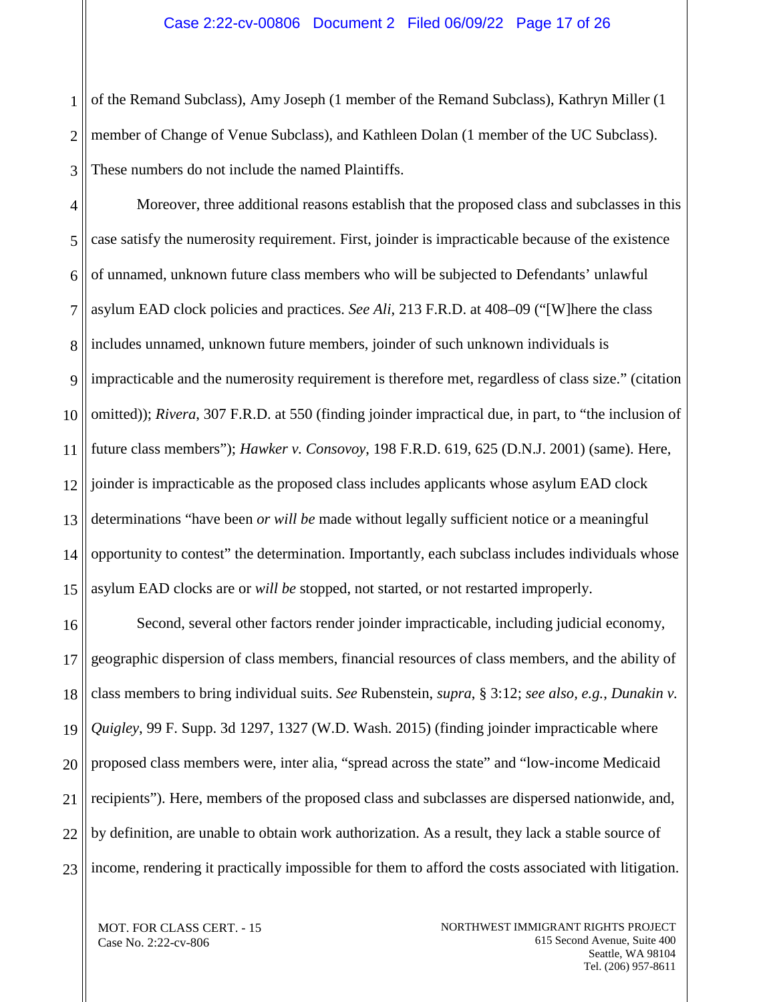1 2 3 of the Remand Subclass), Amy Joseph (1 member of the Remand Subclass), Kathryn Miller (1 member of Change of Venue Subclass), and Kathleen Dolan (1 member of the UC Subclass). These numbers do not include the named Plaintiffs.

4 5 6 7 8 9 10 11 12 13 14 15 Moreover, three additional reasons establish that the proposed class and subclasses in this case satisfy the numerosity requirement. First, joinder is impracticable because of the existence of unnamed, unknown future class members who will be subjected to Defendants' unlawful asylum EAD clock policies and practices. *See Ali*, 213 F.R.D. at 408–09 ("[W]here the class includes unnamed, unknown future members, joinder of such unknown individuals is impracticable and the numerosity requirement is therefore met, regardless of class size." (citation omitted)); *Rivera*, 307 F.R.D. at 550 (finding joinder impractical due, in part, to "the inclusion of future class members"); *Hawker v. Consovoy*, 198 F.R.D. 619, 625 (D.N.J. 2001) (same). Here, joinder is impracticable as the proposed class includes applicants whose asylum EAD clock determinations "have been *or will be* made without legally sufficient notice or a meaningful opportunity to contest" the determination. Importantly, each subclass includes individuals whose asylum EAD clocks are or *will be* stopped, not started, or not restarted improperly.

16 17 18 19 20 21 22 23 Second, several other factors render joinder impracticable, including judicial economy, geographic dispersion of class members, financial resources of class members, and the ability of class members to bring individual suits. *See* Rubenstein, *supra*, § 3:12; *see also, e.g.*, *Dunakin v. Quigley*, 99 F. Supp. 3d 1297, 1327 (W.D. Wash. 2015) (finding joinder impracticable where proposed class members were, inter alia, "spread across the state" and "low-income Medicaid recipients"). Here, members of the proposed class and subclasses are dispersed nationwide, and, by definition, are unable to obtain work authorization. As a result, they lack a stable source of income, rendering it practically impossible for them to afford the costs associated with litigation.

MOT. FOR CLASS CERT. - 15 Case No. 2:22-cv-806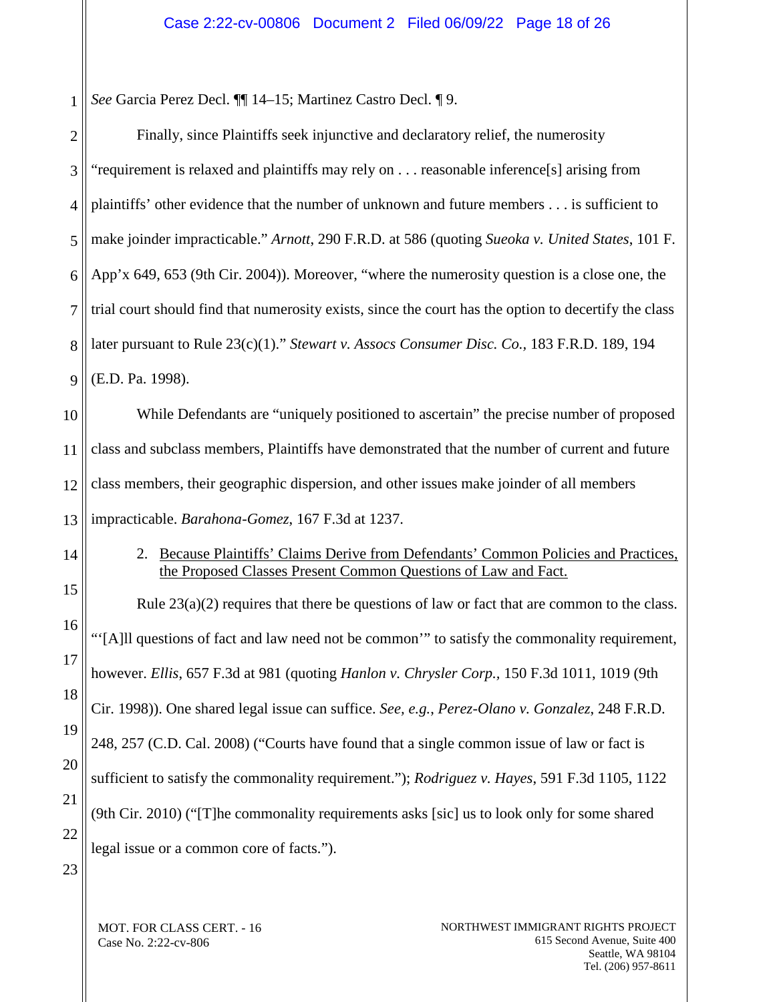1 *See* Garcia Perez Decl. ¶¶ 14–15; Martinez Castro Decl. ¶ 9.

| $\overline{2}$ | Finally, since Plaintiffs seek injunctive and declaratory relief, the numerosity                                                         |
|----------------|------------------------------------------------------------------------------------------------------------------------------------------|
| 3              | "requirement is relaxed and plaintiffs may rely on reasonable inference[s] arising from                                                  |
| $\overline{4}$ | plaintiffs' other evidence that the number of unknown and future members is sufficient to                                                |
| 5              | make joinder impracticable." Arnott, 290 F.R.D. at 586 (quoting Sueoka v. United States, 101 F.                                          |
| 6              | App'x 649, 653 (9th Cir. 2004)). Moreover, "where the numerosity question is a close one, the                                            |
| $\overline{7}$ | trial court should find that numerosity exists, since the court has the option to decertify the class                                    |
| 8              | later pursuant to Rule 23(c)(1)." Stewart v. Assocs Consumer Disc. Co., 183 F.R.D. 189, 194                                              |
| 9              | (E.D. Pa. 1998).                                                                                                                         |
| 10             | While Defendants are "uniquely positioned to ascertain" the precise number of proposed                                                   |
| 11             | class and subclass members, Plaintiffs have demonstrated that the number of current and future                                           |
| 12             | class members, their geographic dispersion, and other issues make joinder of all members                                                 |
|                |                                                                                                                                          |
| 13             | impracticable. Barahona-Gomez, 167 F.3d at 1237.                                                                                         |
| 14             | Because Plaintiffs' Claims Derive from Defendants' Common Policies and Practices,<br>2.                                                  |
| 15             | the Proposed Classes Present Common Questions of Law and Fact.                                                                           |
| 16             | Rule $23(a)(2)$ requires that there be questions of law or fact that are common to the class.                                            |
| 17             | "[A]ll questions of fact and law need not be common" to satisfy the commonality requirement,                                             |
| 18             | however. Ellis, 657 F.3d at 981 (quoting Hanlon v. Chrysler Corp., 150 F.3d 1011, 1019 (9th                                              |
| 19             | Cir. 1998)). One shared legal issue can suffice. See, e.g., Perez-Olano v. Gonzalez, 248 F.R.D.                                          |
| 20             | 248, 257 (C.D. Cal. 2008) ("Courts have found that a single common issue of law or fact is                                               |
| 21             | sufficient to satisfy the commonality requirement."); Rodriguez v. Hayes, 591 F.3d 1105, 1122                                            |
| 22             | (9th Cir. 2010) ("[T]he commonality requirements asks [sic] us to look only for some shared<br>legal issue or a common core of facts."). |

<span id="page-17-0"></span>MOT. FOR CLASS CERT. - 16 Case No. 2:22-cv-806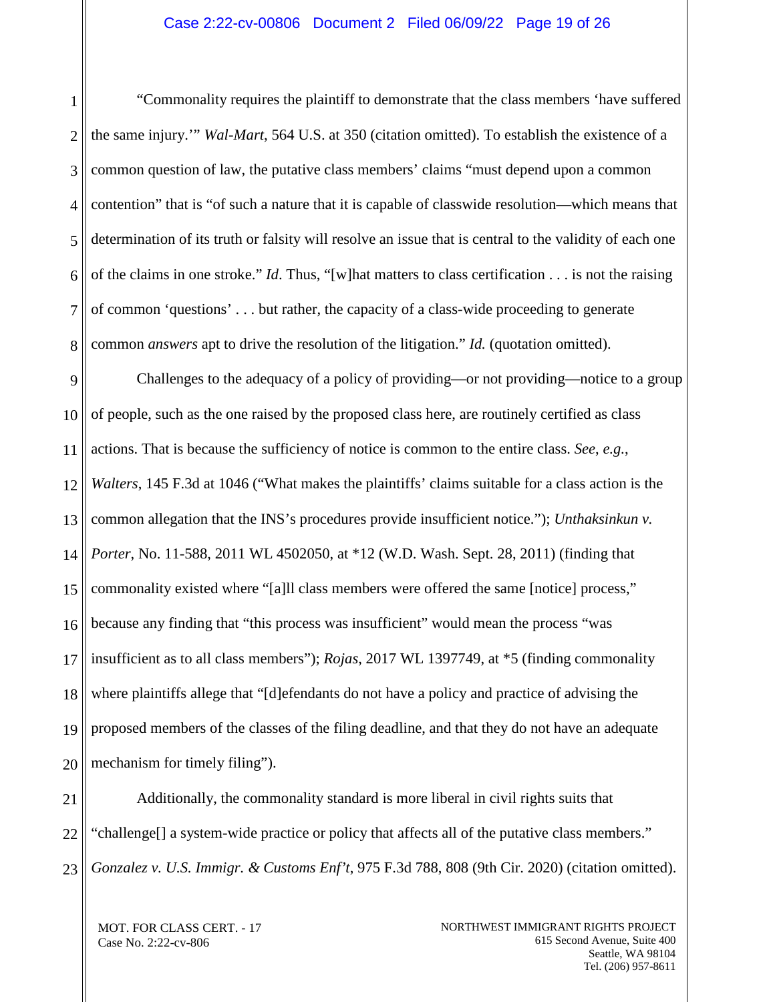1 2 3 4 5 6 7 8 "Commonality requires the plaintiff to demonstrate that the class members 'have suffered the same injury.'" *Wal-Mart*, 564 U.S. at 350 (citation omitted). To establish the existence of a common question of law, the putative class members' claims "must depend upon a common contention" that is "of such a nature that it is capable of classwide resolution—which means that determination of its truth or falsity will resolve an issue that is central to the validity of each one of the claims in one stroke." *Id*. Thus, "[w]hat matters to class certification . . . is not the raising of common 'questions' . . . but rather, the capacity of a class-wide proceeding to generate common *answers* apt to drive the resolution of the litigation." *Id.* (quotation omitted).

9 10 11 12 13 14 15 16 17 18 19 20 Challenges to the adequacy of a policy of providing—or not providing—notice to a group of people, such as the one raised by the proposed class here, are routinely certified as class actions. That is because the sufficiency of notice is common to the entire class. *See*, *e.g.*, *Walters*, 145 F.3d at 1046 ("What makes the plaintiffs' claims suitable for a class action is the common allegation that the INS's procedures provide insufficient notice."); *Unthaksinkun v. Porter*, No. 11-588, 2011 WL 4502050, at \*12 (W.D. Wash. Sept. 28, 2011) (finding that commonality existed where "[a]ll class members were offered the same [notice] process," because any finding that "this process was insufficient" would mean the process "was insufficient as to all class members"); *Rojas*, 2017 WL 1397749, at \*5 (finding commonality where plaintiffs allege that "[d]efendants do not have a policy and practice of advising the proposed members of the classes of the filing deadline, and that they do not have an adequate mechanism for timely filing").

21 22 23 Additionally, the commonality standard is more liberal in civil rights suits that "challenge[] a system-wide practice or policy that affects all of the putative class members." *Gonzalez v. U.S. Immigr. & Customs Enf't*, 975 F.3d 788, 808 (9th Cir. 2020) (citation omitted).

MOT. FOR CLASS CERT. - 17 Case No. 2:22-cv-806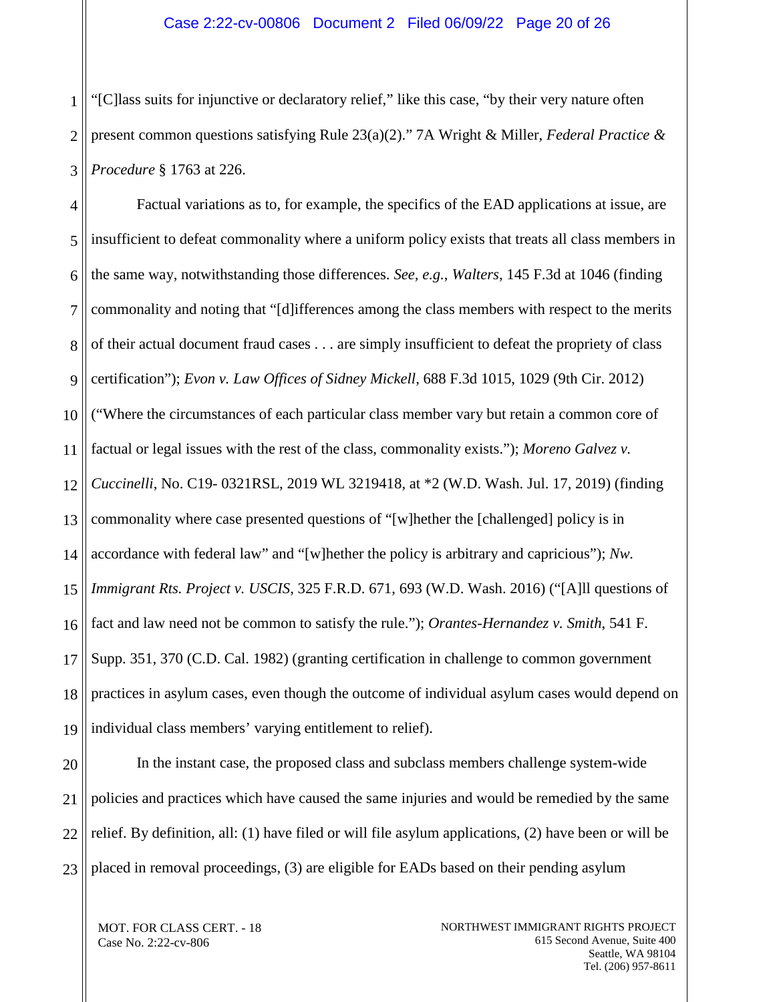1 2 3 "[C]lass suits for injunctive or declaratory relief," like this case, "by their very nature often present common questions satisfying Rule 23(a)(2)." 7A Wright & Miller, *Federal Practice & Procedure* § 1763 at 226.

4 5 6 7 8 9 10 11 12 13 14 15 16 17 18 19 Factual variations as to, for example, the specifics of the EAD applications at issue, are insufficient to defeat commonality where a uniform policy exists that treats all class members in the same way, notwithstanding those differences. *See, e.g.*, *Walters*, 145 F.3d at 1046 (finding commonality and noting that "[d]ifferences among the class members with respect to the merits of their actual document fraud cases . . . are simply insufficient to defeat the propriety of class certification"); *Evon v. Law Offices of Sidney Mickell*, 688 F.3d 1015, 1029 (9th Cir. 2012) ("Where the circumstances of each particular class member vary but retain a common core of factual or legal issues with the rest of the class, commonality exists."); *Moreno Galvez v. Cuccinelli*, No. C19- 0321RSL, 2019 WL 3219418, at \*2 (W.D. Wash. Jul. 17, 2019) (finding commonality where case presented questions of "[w]hether the [challenged] policy is in accordance with federal law" and "[w]hether the policy is arbitrary and capricious"); *Nw. Immigrant Rts. Project v. USCIS*, 325 F.R.D. 671, 693 (W.D. Wash. 2016) ("[A]ll questions of fact and law need not be common to satisfy the rule."); *Orantes-Hernandez v. Smith*, 541 F. Supp. 351, 370 (C.D. Cal. 1982) (granting certification in challenge to common government practices in asylum cases, even though the outcome of individual asylum cases would depend on individual class members' varying entitlement to relief).

20 21 22 23 In the instant case, the proposed class and subclass members challenge system-wide policies and practices which have caused the same injuries and would be remedied by the same relief. By definition, all: (1) have filed or will file asylum applications, (2) have been or will be placed in removal proceedings, (3) are eligible for EADs based on their pending asylum

MOT. FOR CLASS CERT. - 18 Case No. 2:22-cv-806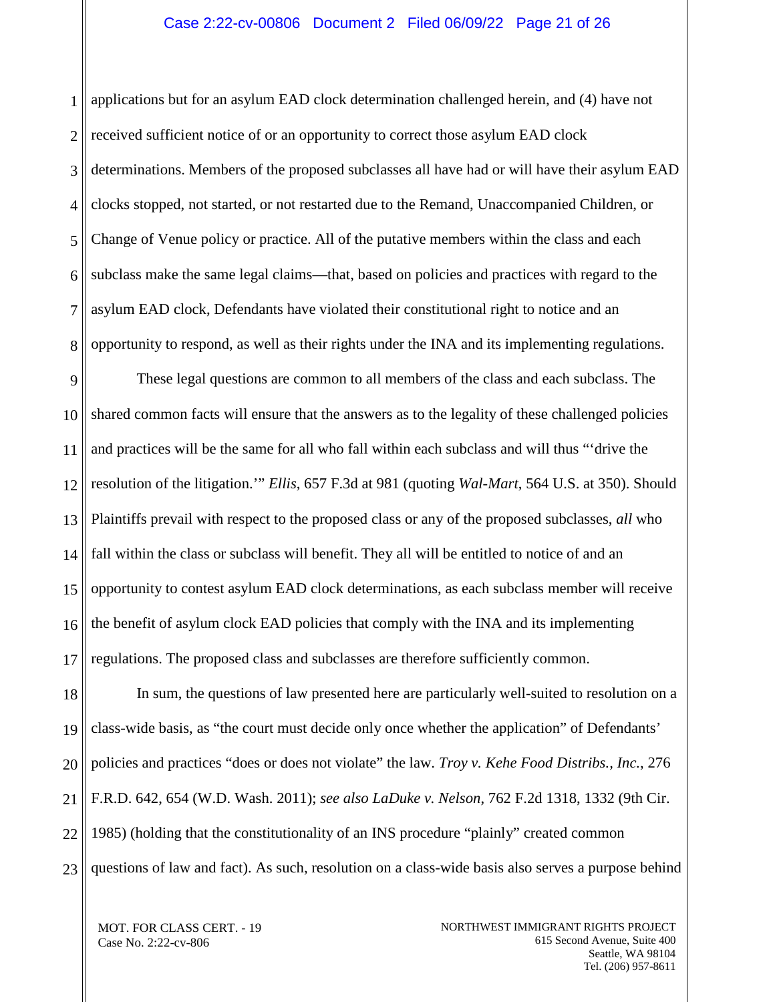#### Case 2:22-cv-00806 Document 2 Filed 06/09/22 Page 21 of 26

1 2 3 4 5 6 7 8 applications but for an asylum EAD clock determination challenged herein, and (4) have not received sufficient notice of or an opportunity to correct those asylum EAD clock determinations. Members of the proposed subclasses all have had or will have their asylum EAD clocks stopped, not started, or not restarted due to the Remand, Unaccompanied Children, or Change of Venue policy or practice. All of the putative members within the class and each subclass make the same legal claims—that, based on policies and practices with regard to the asylum EAD clock, Defendants have violated their constitutional right to notice and an opportunity to respond, as well as their rights under the INA and its implementing regulations.

9 10 11 12 13 14 15 16 17 These legal questions are common to all members of the class and each subclass. The shared common facts will ensure that the answers as to the legality of these challenged policies and practices will be the same for all who fall within each subclass and will thus "'drive the resolution of the litigation.'" *Ellis*, 657 F.3d at 981 (quoting *Wal-Mart*, 564 U.S. at 350). Should Plaintiffs prevail with respect to the proposed class or any of the proposed subclasses, *all* who fall within the class or subclass will benefit. They all will be entitled to notice of and an opportunity to contest asylum EAD clock determinations, as each subclass member will receive the benefit of asylum clock EAD policies that comply with the INA and its implementing regulations. The proposed class and subclasses are therefore sufficiently common.

18 19 20 21 22 23 In sum, the questions of law presented here are particularly well-suited to resolution on a class-wide basis, as "the court must decide only once whether the application" of Defendants' policies and practices "does or does not violate" the law. *Troy v. Kehe Food Distribs., Inc.*, 276 F.R.D. 642, 654 (W.D. Wash. 2011); *see also LaDuke v. Nelson*, 762 F.2d 1318, 1332 (9th Cir. 1985) (holding that the constitutionality of an INS procedure "plainly" created common questions of law and fact). As such, resolution on a class-wide basis also serves a purpose behind

MOT. FOR CLASS CERT. - 19 Case No. 2:22-cv-806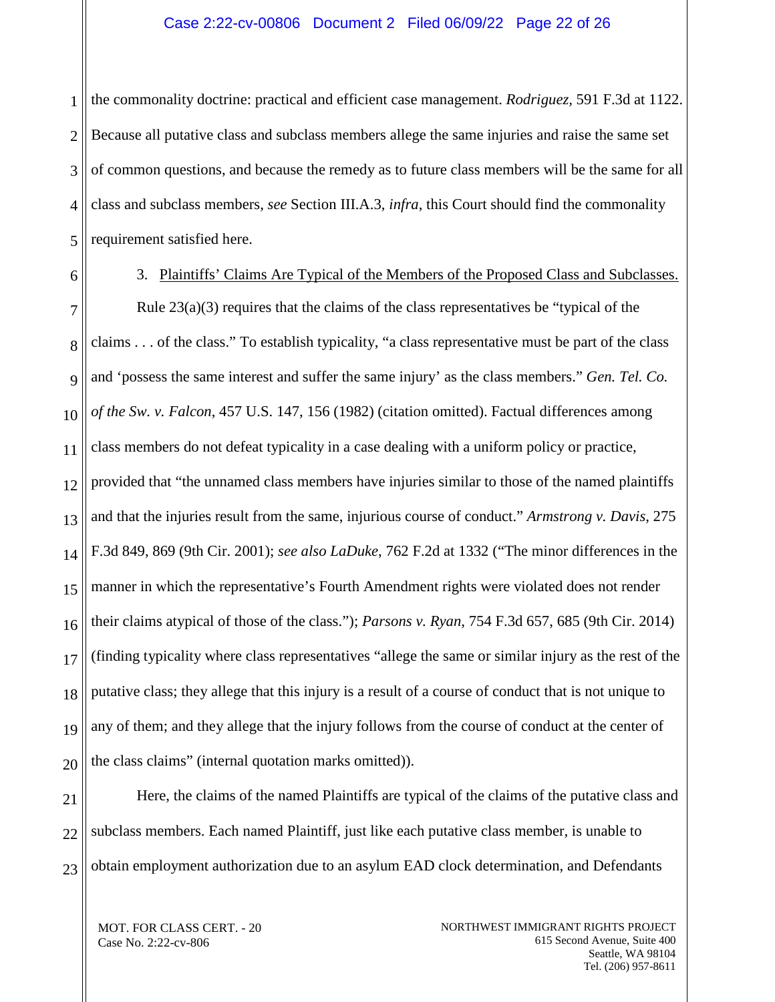1 2 3 4 5 the commonality doctrine: practical and efficient case management. *Rodriguez,* 591 F.3d at 1122. Because all putative class and subclass members allege the same injuries and raise the same set of common questions, and because the remedy as to future class members will be the same for all class and subclass members, *see* Section III.A.3, *infra*, this Court should find the commonality requirement satisfied here.

<span id="page-21-0"></span>6

3. Plaintiffs' Claims Are Typical of the Members of the Proposed Class and Subclasses.

7 8 9 10 11 12 13 14 15 16 17 18 19 20 Rule  $23(a)(3)$  requires that the claims of the class representatives be "typical of the claims . . . of the class." To establish typicality, "a class representative must be part of the class and 'possess the same interest and suffer the same injury' as the class members." *Gen. Tel. Co. of the Sw. v. Falcon*, 457 U.S. 147, 156 (1982) (citation omitted). Factual differences among class members do not defeat typicality in a case dealing with a uniform policy or practice, provided that "the unnamed class members have injuries similar to those of the named plaintiffs and that the injuries result from the same, injurious course of conduct." *Armstrong v. Davis*, 275 F.3d 849, 869 (9th Cir. 2001); *see also LaDuke*, 762 F.2d at 1332 ("The minor differences in the manner in which the representative's Fourth Amendment rights were violated does not render their claims atypical of those of the class."); *Parsons v. Ryan*, 754 F.3d 657, 685 (9th Cir. 2014) (finding typicality where class representatives "allege the same or similar injury as the rest of the putative class; they allege that this injury is a result of a course of conduct that is not unique to any of them; and they allege that the injury follows from the course of conduct at the center of the class claims" (internal quotation marks omitted)).

21 22

23

Here, the claims of the named Plaintiffs are typical of the claims of the putative class and subclass members. Each named Plaintiff, just like each putative class member, is unable to obtain employment authorization due to an asylum EAD clock determination, and Defendants

MOT. FOR CLASS CERT. - 20 Case No. 2:22-cv-806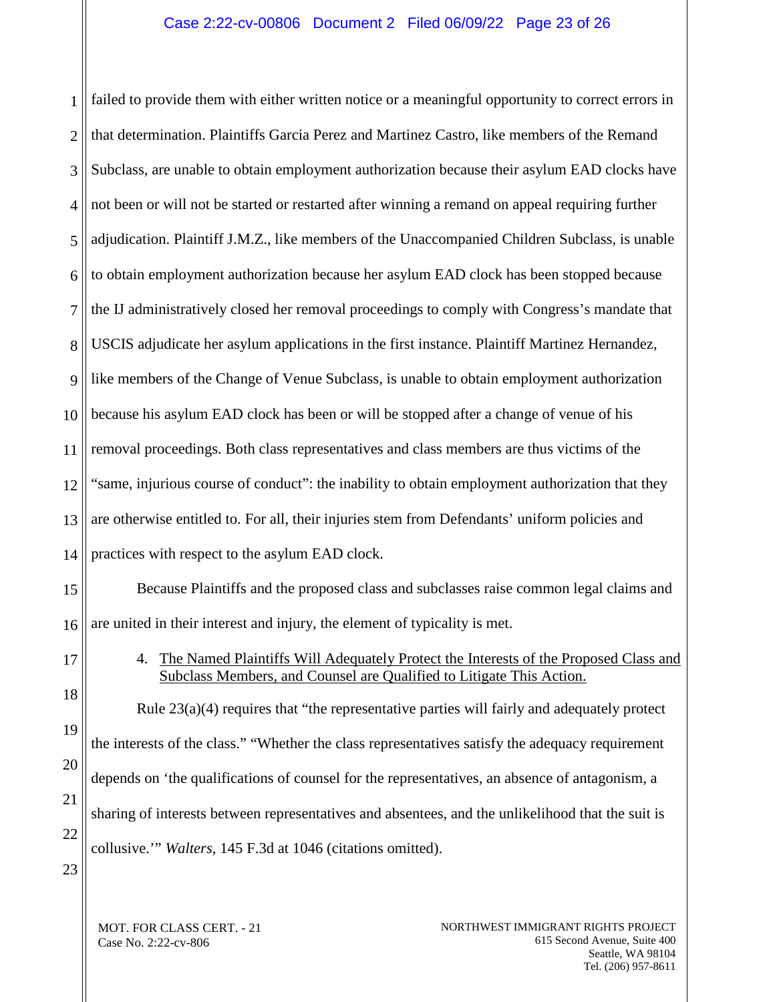### Case 2:22-cv-00806 Document 2 Filed 06/09/22 Page 23 of 26

1 2 3 4 5 6 7 8 9 10 11 12 13 14 15 16 17 18 19 failed to provide them with either written notice or a meaningful opportunity to correct errors in that determination. Plaintiffs Garcia Perez and Martinez Castro, like members of the Remand Subclass, are unable to obtain employment authorization because their asylum EAD clocks have not been or will not be started or restarted after winning a remand on appeal requiring further adjudication. Plaintiff J.M.Z., like members of the Unaccompanied Children Subclass, is unable to obtain employment authorization because her asylum EAD clock has been stopped because the IJ administratively closed her removal proceedings to comply with Congress's mandate that USCIS adjudicate her asylum applications in the first instance. Plaintiff Martinez Hernandez, like members of the Change of Venue Subclass, is unable to obtain employment authorization because his asylum EAD clock has been or will be stopped after a change of venue of his removal proceedings. Both class representatives and class members are thus victims of the "same, injurious course of conduct": the inability to obtain employment authorization that they are otherwise entitled to. For all, their injuries stem from Defendants' uniform policies and practices with respect to the asylum EAD clock. Because Plaintiffs and the proposed class and subclasses raise common legal claims and are united in their interest and injury, the element of typicality is met. 4. The Named Plaintiffs Will Adequately Protect the Interests of the Proposed Class and Subclass Members, and Counsel are Qualified to Litigate This Action. Rule 23(a)(4) requires that "the representative parties will fairly and adequately protect the interests of the class." "Whether the class representatives satisfy the adequacy requirement

<span id="page-22-0"></span>20

21

depends on 'the qualifications of counsel for the representatives, an absence of antagonism, a

sharing of interests between representatives and absentees, and the unlikelihood that the suit is

22 collusive.'" *Walters*, 145 F.3d at 1046 (citations omitted).

23

MOT. FOR CLASS CERT. - 21 Case No. 2:22-cv-806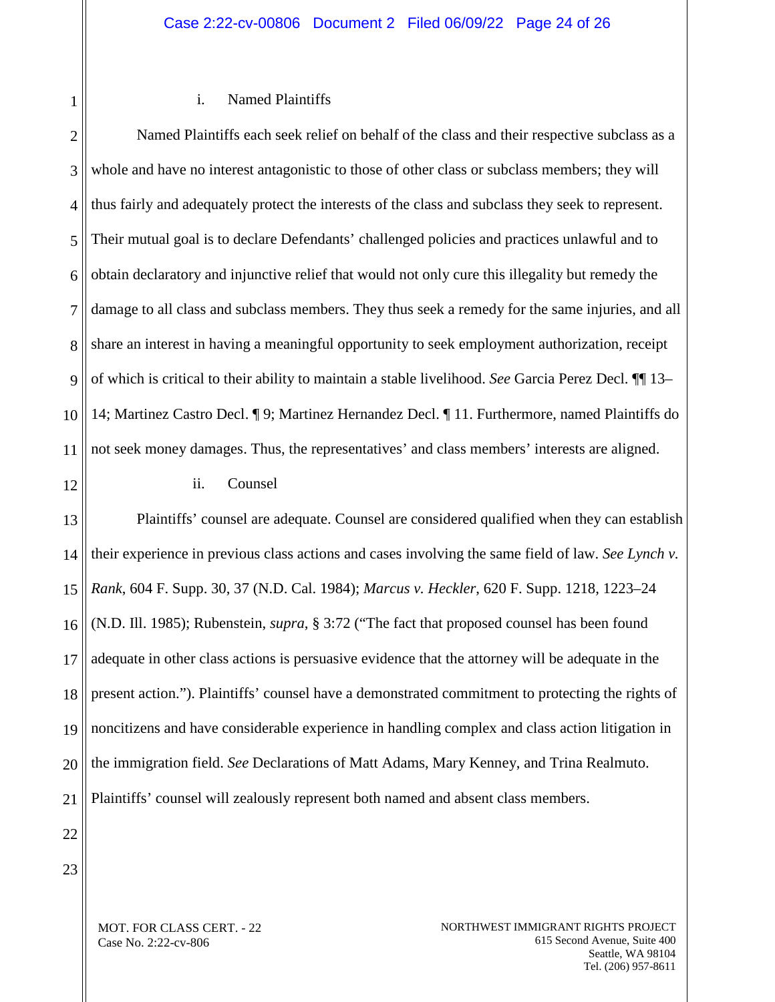### i. Named Plaintiffs

2 3 4 5 6 7 8 9 10 11 Named Plaintiffs each seek relief on behalf of the class and their respective subclass as a whole and have no interest antagonistic to those of other class or subclass members; they will thus fairly and adequately protect the interests of the class and subclass they seek to represent. Their mutual goal is to declare Defendants' challenged policies and practices unlawful and to obtain declaratory and injunctive relief that would not only cure this illegality but remedy the damage to all class and subclass members. They thus seek a remedy for the same injuries, and all share an interest in having a meaningful opportunity to seek employment authorization, receipt of which is critical to their ability to maintain a stable livelihood. *See* Garcia Perez Decl. ¶¶ 13– 14; Martinez Castro Decl. ¶ 9; Martinez Hernandez Decl. ¶ 11. Furthermore, named Plaintiffs do not seek money damages. Thus, the representatives' and class members' interests are aligned.

12

1

ii. Counsel

13 14 15 16 17 18 19 20 21 Plaintiffs' counsel are adequate. Counsel are considered qualified when they can establish their experience in previous class actions and cases involving the same field of law. *See Lynch v. Rank*, 604 F. Supp. 30, 37 (N.D. Cal. 1984); *Marcus v. Heckler*, 620 F. Supp. 1218, 1223–24 (N.D. Ill. 1985); Rubenstein, *supra*, § 3:72 ("The fact that proposed counsel has been found adequate in other class actions is persuasive evidence that the attorney will be adequate in the present action."). Plaintiffs' counsel have a demonstrated commitment to protecting the rights of noncitizens and have considerable experience in handling complex and class action litigation in the immigration field. *See* Declarations of Matt Adams, Mary Kenney, and Trina Realmuto. Plaintiffs' counsel will zealously represent both named and absent class members.

22 23

> MOT. FOR CLASS CERT. - 22 Case No. 2:22-cv-806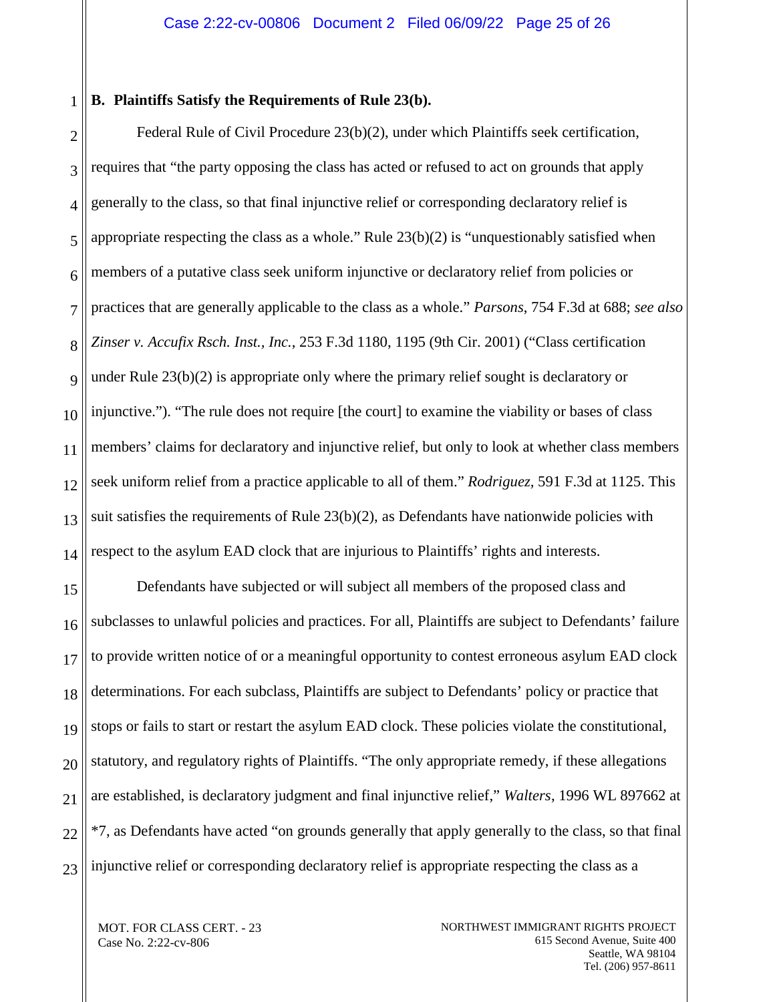#### <span id="page-24-0"></span>1 **B. Plaintiffs Satisfy the Requirements of Rule 23(b).**

2 3 4 5 6 7 8 9 10 11 12 13 14 Federal Rule of Civil Procedure 23(b)(2), under which Plaintiffs seek certification, requires that "the party opposing the class has acted or refused to act on grounds that apply generally to the class, so that final injunctive relief or corresponding declaratory relief is appropriate respecting the class as a whole." Rule 23(b)(2) is "unquestionably satisfied when members of a putative class seek uniform injunctive or declaratory relief from policies or practices that are generally applicable to the class as a whole." *Parsons*, 754 F.3d at 688; *see also Zinser v. Accufix Rsch. Inst., Inc.*, 253 F.3d 1180, 1195 (9th Cir. 2001) ("Class certification under Rule 23(b)(2) is appropriate only where the primary relief sought is declaratory or injunctive."). "The rule does not require [the court] to examine the viability or bases of class members' claims for declaratory and injunctive relief, but only to look at whether class members seek uniform relief from a practice applicable to all of them." *Rodriguez,* 591 F.3d at 1125. This suit satisfies the requirements of Rule  $23(b)(2)$ , as Defendants have nationwide policies with respect to the asylum EAD clock that are injurious to Plaintiffs' rights and interests.

15 16 17 18 19 20 21 22 23 Defendants have subjected or will subject all members of the proposed class and subclasses to unlawful policies and practices. For all, Plaintiffs are subject to Defendants' failure to provide written notice of or a meaningful opportunity to contest erroneous asylum EAD clock determinations. For each subclass, Plaintiffs are subject to Defendants' policy or practice that stops or fails to start or restart the asylum EAD clock. These policies violate the constitutional, statutory, and regulatory rights of Plaintiffs. "The only appropriate remedy, if these allegations are established, is declaratory judgment and final injunctive relief," *Walters*, 1996 WL 897662 at \*7, as Defendants have acted "on grounds generally that apply generally to the class, so that final injunctive relief or corresponding declaratory relief is appropriate respecting the class as a

MOT. FOR CLASS CERT. - 23 Case No. 2:22-cv-806